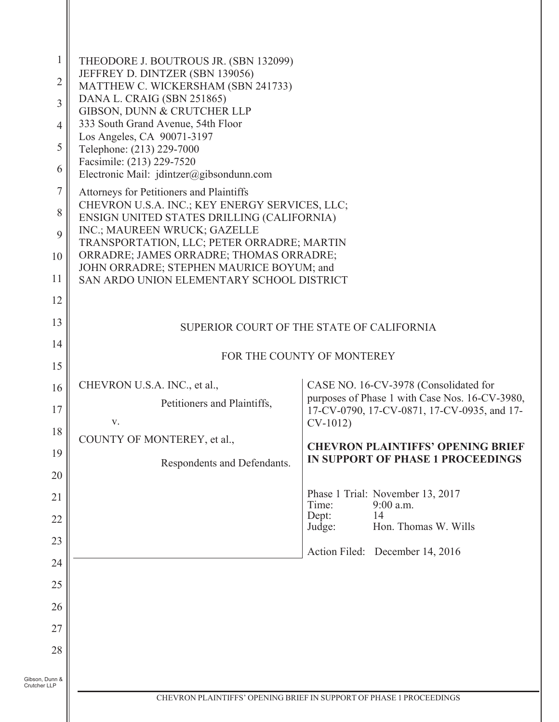| 1                              | THEODORE J. BOUTROUS JR. (SBN 132099)<br>JEFFREY D. DINTZER (SBN 139056)                   |                                                                                               |
|--------------------------------|--------------------------------------------------------------------------------------------|-----------------------------------------------------------------------------------------------|
| $\overline{2}$                 | MATTHEW C. WICKERSHAM (SBN 241733)<br>DANA L. CRAIG (SBN 251865)                           |                                                                                               |
| 3                              | GIBSON, DUNN & CRUTCHER LLP                                                                |                                                                                               |
| 4                              | 333 South Grand Avenue, 54th Floor<br>Los Angeles, CA 90071-3197                           |                                                                                               |
| 5                              | Telephone: (213) 229-7000<br>Facsimile: (213) 229-7520                                     |                                                                                               |
| 6                              | Electronic Mail: $j$ dintzer@gibsondunn.com                                                |                                                                                               |
| $\boldsymbol{7}$               | Attorneys for Petitioners and Plaintiffs<br>CHEVRON U.S.A. INC.; KEY ENERGY SERVICES, LLC; |                                                                                               |
| 8                              | ENSIGN UNITED STATES DRILLING (CALIFORNIA)<br>INC.; MAUREEN WRUCK; GAZELLE                 |                                                                                               |
| 9                              | TRANSPORTATION, LLC; PETER ORRADRE; MARTIN<br>ORRADRE; JAMES ORRADRE; THOMAS ORRADRE;      |                                                                                               |
| 10                             | JOHN ORRADRE; STEPHEN MAURICE BOYUM; and                                                   |                                                                                               |
| 11                             | SAN ARDO UNION ELEMENTARY SCHOOL DISTRICT                                                  |                                                                                               |
| 12<br>13                       |                                                                                            |                                                                                               |
| 14                             |                                                                                            | SUPERIOR COURT OF THE STATE OF CALIFORNIA                                                     |
| 15                             |                                                                                            | FOR THE COUNTY OF MONTEREY                                                                    |
| 16                             | CHEVRON U.S.A. INC., et al.,                                                               | CASE NO. 16-CV-3978 (Consolidated for                                                         |
| 17                             | Petitioners and Plaintiffs,                                                                | purposes of Phase 1 with Case Nos. 16-CV-3980,<br>17-CV-0790, 17-CV-0871, 17-CV-0935, and 17- |
| 18                             | V.                                                                                         | $CV-1012$                                                                                     |
| 19                             | COUNTY OF MONTEREY, et al.,                                                                | <b>CHEVRON PLAINTIFFS' OPENING BRIEF</b>                                                      |
| 20                             | Respondents and Defendants.                                                                | <b>IN SUPPORT OF PHASE 1 PROCEEDINGS</b>                                                      |
| 21                             |                                                                                            | Phase 1 Trial: November 13, 2017                                                              |
| 22                             |                                                                                            | 9:00 a.m.<br>Time:<br>14<br>Dept:                                                             |
| 23                             |                                                                                            | Hon. Thomas W. Wills<br>Judge:                                                                |
| 24                             |                                                                                            | Action Filed: December 14, 2016                                                               |
| 25                             |                                                                                            |                                                                                               |
| 26                             |                                                                                            |                                                                                               |
| 27                             |                                                                                            |                                                                                               |
| 28                             |                                                                                            |                                                                                               |
|                                |                                                                                            |                                                                                               |
| Gibson, Dunn &<br>Crutcher LLP |                                                                                            | CHEVRON PLAINTIFFS' OPENING BRIEF IN SUPPORT OF PHASE 1 PROCEEDINGS                           |
|                                |                                                                                            |                                                                                               |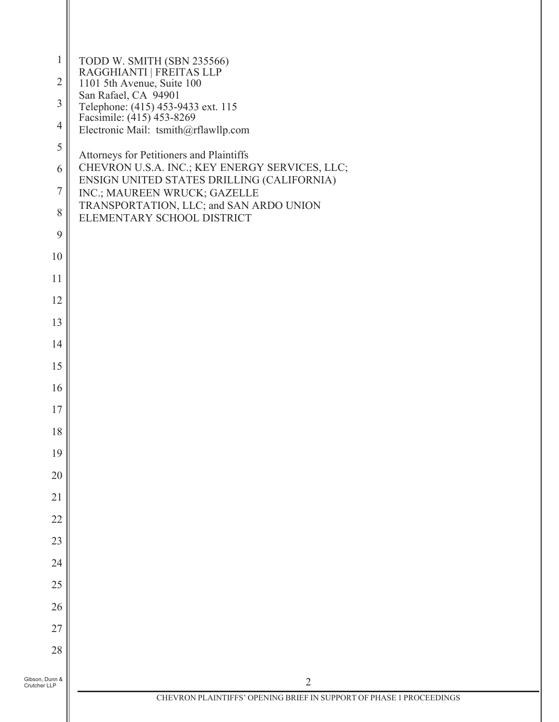| $\mathbf{1}$                   | TODD W. SMITH (SBN 235566)<br>RAGGHIANTI   FREITAS LLP                                       |
|--------------------------------|----------------------------------------------------------------------------------------------|
| $\overline{2}$                 | 1101 5th Avenue, Suite 100<br>San Rafael, CA 94901                                           |
| $\mathfrak{Z}$                 | Telephone: (415) 453-9433 ext. 115<br>Facsimile: (415) 453-8269                              |
| $\overline{4}$                 | Electronic Mail: tsmith@rflawllp.com                                                         |
| 5                              | Attorneys for Petitioners and Plaintiffs                                                     |
| 6                              | CHEVRON U.S.A. INC.; KEY ENERGY SERVICES, LLC;<br>ENSIGN UNITED STATES DRILLING (CALIFORNIA) |
| $\boldsymbol{7}$               | INC.; MAUREEN WRUCK; GAZELLE<br>TRANSPORTATION, LLC; and SAN ARDO UNION                      |
| 8                              | ELEMENTARY SCHOOL DISTRICT                                                                   |
| 9                              |                                                                                              |
| 10                             |                                                                                              |
| 11                             |                                                                                              |
| 12                             |                                                                                              |
| 13                             |                                                                                              |
| 14                             |                                                                                              |
| 15                             |                                                                                              |
| 16                             |                                                                                              |
| $17\,$                         |                                                                                              |
| 18                             |                                                                                              |
| 19                             |                                                                                              |
| 20                             |                                                                                              |
| 21                             |                                                                                              |
| 22                             |                                                                                              |
| 23                             |                                                                                              |
| 24                             |                                                                                              |
| 25                             |                                                                                              |
| 26                             |                                                                                              |
| 27                             |                                                                                              |
| 28                             |                                                                                              |
| Gibson, Dunn &<br>Crutcher LLP | $\overline{2}$                                                                               |
|                                | CHEVRON PLAINTIFFS' OPENING BRIEF IN SUPPORT OF PHASE 1 PROCEEDINGS                          |
|                                |                                                                                              |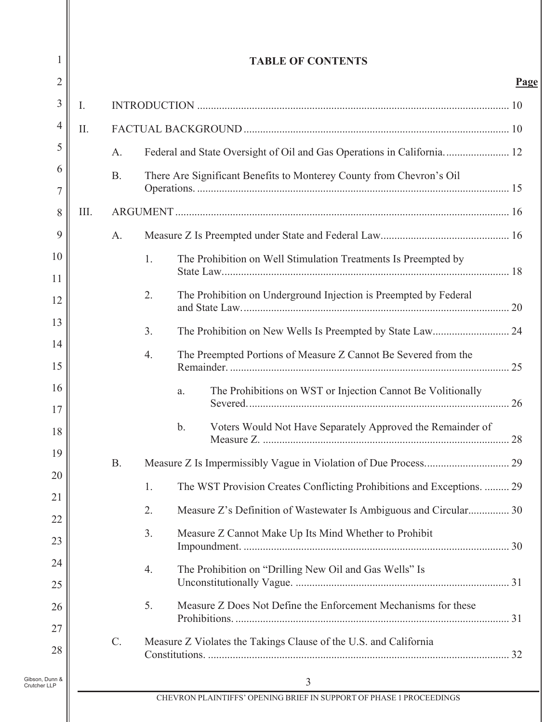| 1                              |      |           |    | <b>TABLE OF CONTENTS</b>                                               |             |
|--------------------------------|------|-----------|----|------------------------------------------------------------------------|-------------|
| $\overline{2}$                 |      |           |    |                                                                        | <u>Page</u> |
| $\mathfrak{Z}$                 | I.   |           |    |                                                                        |             |
| 4                              | II.  |           |    |                                                                        |             |
| 5                              |      | A.        |    | Federal and State Oversight of Oil and Gas Operations in California 12 |             |
| 6                              |      | <b>B.</b> |    | There Are Significant Benefits to Monterey County from Chevron's Oil   |             |
| $\overline{7}$                 |      |           |    |                                                                        |             |
| 8                              | III. |           |    |                                                                        |             |
| 9                              |      | A.        |    |                                                                        |             |
| 10                             |      |           | 1. | The Prohibition on Well Stimulation Treatments Is Preempted by         |             |
| 11                             |      |           |    |                                                                        |             |
| 12                             |      |           | 2. | The Prohibition on Underground Injection is Preempted by Federal       |             |
| 13                             |      |           | 3. |                                                                        |             |
| 14                             |      |           | 4. | The Preempted Portions of Measure Z Cannot Be Severed from the         |             |
| 15                             |      |           |    |                                                                        |             |
| 16                             |      |           |    | The Prohibitions on WST or Injection Cannot Be Volitionally<br>a.      |             |
| 17                             |      |           |    | $\mathbf b$ .                                                          |             |
| 18                             |      |           |    | Voters Would Not Have Separately Approved the Remainder of             |             |
| 19                             |      | <b>B.</b> |    |                                                                        |             |
| 20                             |      |           | 1. | The WST Provision Creates Conflicting Prohibitions and Exceptions.  29 |             |
| 21                             |      |           | 2. | Measure Z's Definition of Wastewater Is Ambiguous and Circular 30      |             |
| 22                             |      |           | 3. | Measure Z Cannot Make Up Its Mind Whether to Prohibit                  |             |
| 23                             |      |           |    |                                                                        |             |
| 24                             |      |           | 4. | The Prohibition on "Drilling New Oil and Gas Wells" Is                 |             |
| 25                             |      |           | 5. | Measure Z Does Not Define the Enforcement Mechanisms for these         |             |
| 26                             |      |           |    |                                                                        |             |
| 27<br>28                       |      | C.        |    | Measure Z Violates the Takings Clause of the U.S. and California       |             |
|                                |      |           |    |                                                                        |             |
| Gibson, Dunn &<br>Crutcher LLP |      |           |    | 3                                                                      |             |
|                                |      |           |    | CHEVRON PLAINTIFFS' OPENING BRIEF IN SUPPORT OF PHASE 1 PROCEEDINGS    |             |

 $\overline{\phantom{a}}$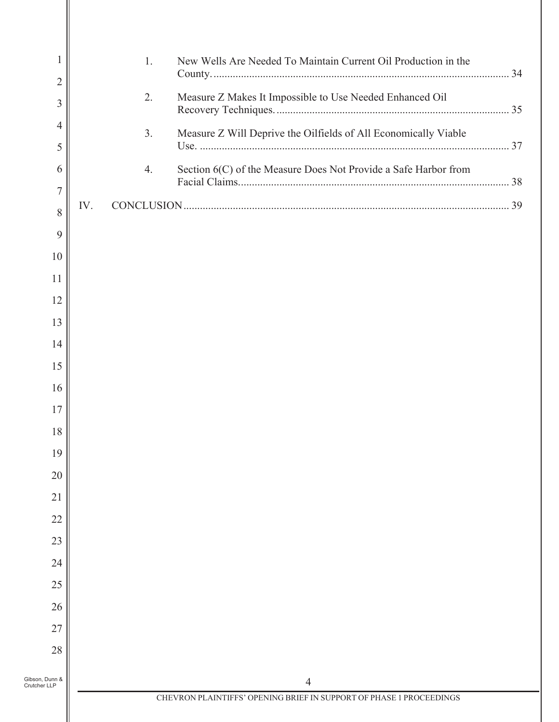| 1<br>$\overline{2}$            | 1.<br>New Wells Are Needed To Maintain Current Oil Production in the  |  |
|--------------------------------|-----------------------------------------------------------------------|--|
| $\mathfrak{Z}$                 | 2.<br>Measure Z Makes It Impossible to Use Needed Enhanced Oil        |  |
| 4<br>5                         | 3.<br>Measure Z Will Deprive the Oilfields of All Economically Viable |  |
| 6                              | 4.<br>Section 6(C) of the Measure Does Not Provide a Safe Harbor from |  |
| $\overline{7}$                 | IV.                                                                   |  |
| 8                              |                                                                       |  |
| 9                              |                                                                       |  |
| 10                             |                                                                       |  |
| 11<br>12                       |                                                                       |  |
| 13                             |                                                                       |  |
| 14                             |                                                                       |  |
| 15                             |                                                                       |  |
| 16                             |                                                                       |  |
| $17\,$                         |                                                                       |  |
| 18                             |                                                                       |  |
| 19                             |                                                                       |  |
| 20                             |                                                                       |  |
| 21                             |                                                                       |  |
| 22                             |                                                                       |  |
| 23                             |                                                                       |  |
| 24                             |                                                                       |  |
| 25                             |                                                                       |  |
| 26                             |                                                                       |  |
| 27                             |                                                                       |  |
| 28                             |                                                                       |  |
| Gibson, Dunn &<br>Crutcher LLP | 4                                                                     |  |
|                                | CHEVRON PLAINTIFFS' OPENING BRIEF IN SUPPORT OF PHASE 1 PROCEEDINGS   |  |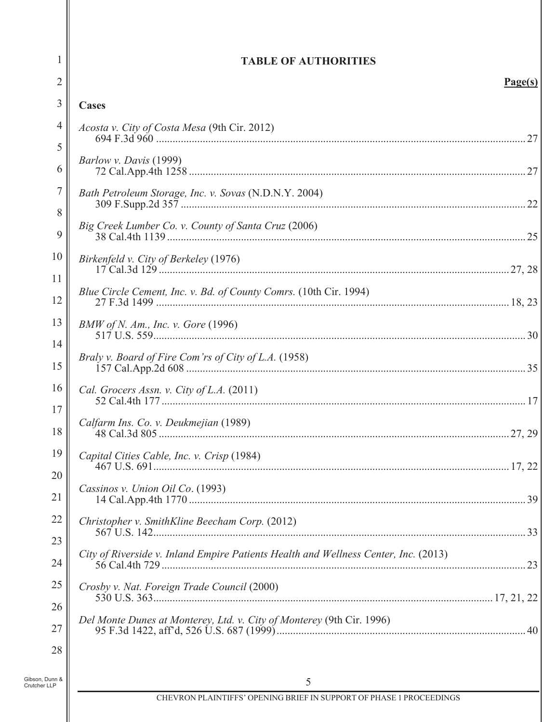| 1                   | <b>TABLE OF AUTHORITIES</b>                                                         |  |
|---------------------|-------------------------------------------------------------------------------------|--|
| $\overline{2}$      | Page(s)                                                                             |  |
| 3                   | Cases                                                                               |  |
| $\overline{4}$<br>5 | Acosta v. City of Costa Mesa (9th Cir. 2012)                                        |  |
| 6                   | Barlow v. Davis (1999)                                                              |  |
| 7<br>8              | Bath Petroleum Storage, Inc. v. Sovas (N.D.N.Y. 2004)                               |  |
| 9                   | Big Creek Lumber Co. v. County of Santa Cruz (2006)                                 |  |
| 10<br>11            | Birkenfeld v. City of Berkeley (1976)                                               |  |
| 12                  | Blue Circle Cement, Inc. v. Bd. of County Comrs. (10th Cir. 1994)                   |  |
| 13                  | BMW of N. Am., Inc. v. Gore $(1996)$                                                |  |
| 14<br>15            | Braly v. Board of Fire Com'rs of City of L.A. (1958)                                |  |
| 16                  | Cal. Grocers Assn. v. City of L.A. (2011)                                           |  |
| 17<br>18            | Calfarm Ins. Co. v. Deukmejian (1989)                                               |  |
| 19                  | Capital Cities Cable, Inc. v. Crisp (1984)                                          |  |
| 20<br>21            | Cassinos v. Union Oil Co. (1993)                                                    |  |
| 22                  | Christopher v. SmithKline Beecham Corp. (2012)                                      |  |
| 23<br>24            | City of Riverside v. Inland Empire Patients Health and Wellness Center, Inc. (2013) |  |
| 25                  | Crosby v. Nat. Foreign Trade Council (2000)                                         |  |
| 26<br>27            | Del Monte Dunes at Monterey, Ltd. v. City of Monterey (9th Cir. 1996)               |  |
| 28                  |                                                                                     |  |
| unn &<br>LP         | 5                                                                                   |  |

Gibson, Dunn &<br>Crutcher LLP

 $\parallel$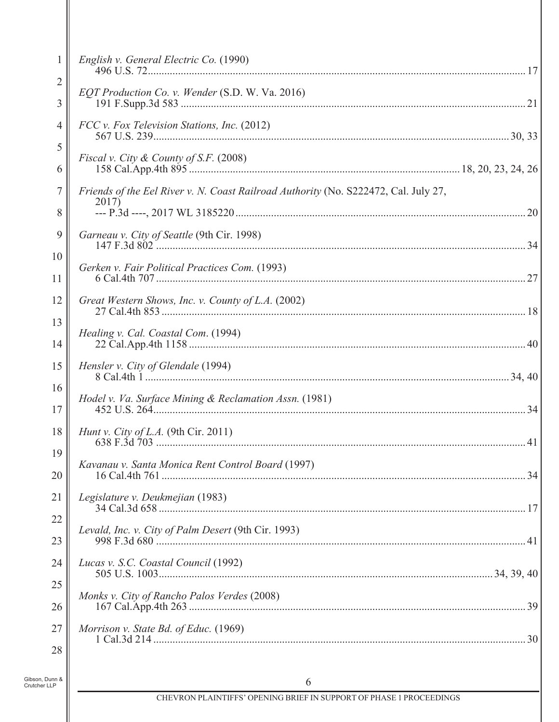| 1                              | English v. General Electric Co. (1990)                                              |  |
|--------------------------------|-------------------------------------------------------------------------------------|--|
| $\overline{2}$                 | EQT Production Co. v. Wender (S.D. W. Va. 2016)                                     |  |
| 3                              |                                                                                     |  |
| $\overline{4}$                 | FCC v. Fox Television Stations, Inc. (2012)                                         |  |
| 5                              |                                                                                     |  |
| 6                              | Fiscal v. City & County of S.F. (2008)                                              |  |
| 7                              | Friends of the Eel River v. N. Coast Railroad Authority (No. S222472, Cal. July 27, |  |
| 8                              | 2017)                                                                               |  |
| 9                              | Garneau v. City of Seattle (9th Cir. 1998)                                          |  |
| 10                             |                                                                                     |  |
| 11                             | Gerken v. Fair Political Practices Com. (1993)                                      |  |
| 12                             | Great Western Shows, Inc. v. County of L.A. (2002)                                  |  |
| 13                             |                                                                                     |  |
| 14                             | Healing v. Cal. Coastal Com. (1994)                                                 |  |
| 15                             | Hensler v. City of Glendale (1994)                                                  |  |
| 16                             |                                                                                     |  |
| 17                             | Hodel v. Va. Surface Mining & Reclamation Assn. (1981)                              |  |
| 18                             | <i>Hunt v. City of L.A.</i> (9th Cir. 2011)                                         |  |
| 19                             |                                                                                     |  |
| 20                             | Kavanau v. Santa Monica Rent Control Board (1997)                                   |  |
| 21                             | Legislature v. Deukmejian (1983)                                                    |  |
| 22                             |                                                                                     |  |
| 23                             | Levald, Inc. v. City of Palm Desert (9th Cir. 1993)                                 |  |
| 24                             | Lucas v. S.C. Coastal Council (1992)                                                |  |
| 25                             |                                                                                     |  |
| 26                             | Monks v. City of Rancho Palos Verdes (2008)                                         |  |
| 27                             | Morrison v. State Bd. of Educ. (1969)                                               |  |
| 28                             |                                                                                     |  |
|                                |                                                                                     |  |
| Gibson, Dunn &<br>Crutcher LLP | 6                                                                                   |  |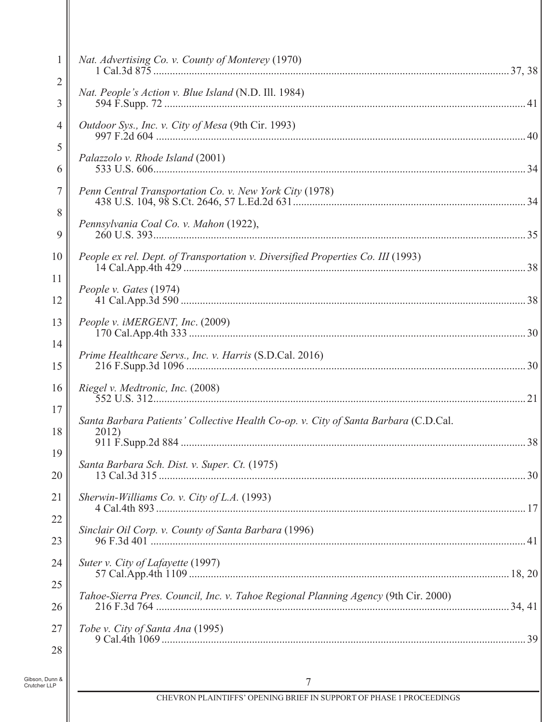| $\mathbf{1}$                   | Nat. Advertising Co. v. County of Monterey (1970)                                            |  |
|--------------------------------|----------------------------------------------------------------------------------------------|--|
| $\overline{c}$                 |                                                                                              |  |
| 3                              | Nat. People's Action v. Blue Island (N.D. Ill. 1984)                                         |  |
| 4                              | Outdoor Sys., Inc. v. City of Mesa (9th Cir. 1993)                                           |  |
| 5                              |                                                                                              |  |
| 6                              | Palazzolo v. Rhode Island (2001)                                                             |  |
| 7                              | Penn Central Transportation Co. v. New York City (1978)                                      |  |
| 8                              |                                                                                              |  |
| 9                              | Pennsylvania Coal Co. v. Mahon (1922),                                                       |  |
| 10                             | People ex rel. Dept. of Transportation v. Diversified Properties Co. III (1993)              |  |
| 11                             |                                                                                              |  |
| 12                             | People v. Gates (1974)                                                                       |  |
| 13                             | People v. iMERGENT, Inc. (2009)                                                              |  |
| 14                             |                                                                                              |  |
| 15                             | Prime Healthcare Servs., Inc. v. Harris (S.D.Cal. 2016)                                      |  |
| 16                             | Riegel v. Medtronic, Inc. (2008)                                                             |  |
| 17                             |                                                                                              |  |
| 18                             | Santa Barbara Patients' Collective Health Co-op. v. City of Santa Barbara (C.D.Cal.<br>2012) |  |
| 19                             |                                                                                              |  |
| 20                             | Santa Barbara Sch. Dist. v. Super. Ct. (1975)                                                |  |
| 21                             | Sherwin-Williams Co. v. City of L.A. $(1993)$                                                |  |
| 22                             |                                                                                              |  |
| 23                             | Sinclair Oil Corp. v. County of Santa Barbara (1996)                                         |  |
| 24                             | Suter v. City of Lafayette (1997)                                                            |  |
| 25                             |                                                                                              |  |
| 26                             | Tahoe-Sierra Pres. Council, Inc. v. Tahoe Regional Planning Agency (9th Cir. 2000)           |  |
| 27                             | Tobe v. City of Santa Ana (1995)                                                             |  |
| 28                             |                                                                                              |  |
| Gibson, Dunn &<br>Crutcher LLP | 7                                                                                            |  |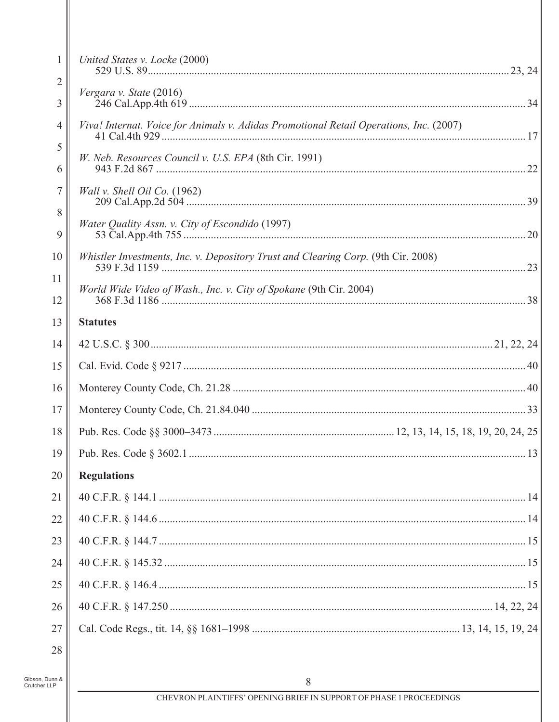| United States v. Locke (2000)                                                          |
|----------------------------------------------------------------------------------------|
|                                                                                        |
| Vergara v. State (2016)                                                                |
| Viva! Internat. Voice for Animals v. Adidas Promotional Retail Operations, Inc. (2007) |
| <i>W. Neb. Resources Council v. U.S. EPA</i> (8th Cir. 1991)                           |
| <i>Wall v. Shell Oil Co.</i> $(1962)$                                                  |
| Water Quality Assn. v. City of Escondido (1997)                                        |
| Whistler Investments, Inc. v. Depository Trust and Clearing Corp. (9th Cir. 2008)      |
| World Wide Video of Wash., Inc. v. City of Spokane (9th Cir. 2004)                     |
| <b>Statutes</b>                                                                        |
|                                                                                        |
|                                                                                        |
|                                                                                        |
|                                                                                        |
|                                                                                        |
| 19                                                                                     |
| <b>Regulations</b>                                                                     |
|                                                                                        |
|                                                                                        |
|                                                                                        |
|                                                                                        |
|                                                                                        |
|                                                                                        |
|                                                                                        |
|                                                                                        |
|                                                                                        |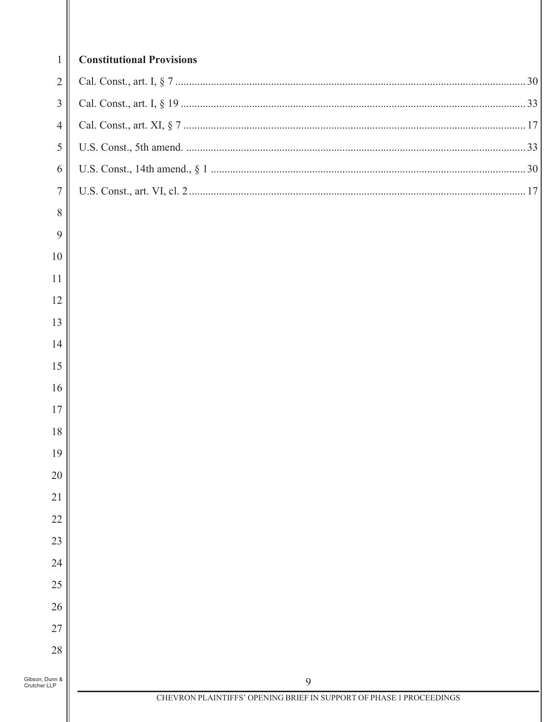| $\mathbf{1}$     | <b>Constitutional Provisions</b>                                    |
|------------------|---------------------------------------------------------------------|
| $\overline{2}$   |                                                                     |
| $\mathfrak{Z}$   |                                                                     |
| $\overline{4}$   |                                                                     |
| 5                |                                                                     |
| 6                |                                                                     |
| $\boldsymbol{7}$ |                                                                     |
| 8                |                                                                     |
| 9                |                                                                     |
| 10               |                                                                     |
| 11               |                                                                     |
| 12               |                                                                     |
| 13               |                                                                     |
| 14               |                                                                     |
| 15               |                                                                     |
| 16               |                                                                     |
| 17               |                                                                     |
| 18               |                                                                     |
| 19               |                                                                     |
| 20               |                                                                     |
| 21               |                                                                     |
| 22               |                                                                     |
| 23               |                                                                     |
| 24               |                                                                     |
| 25               |                                                                     |
| 26               |                                                                     |
| 27               |                                                                     |
| 28               |                                                                     |
| Gibson, Dunn &   | 9                                                                   |
| Crutcher LLP     | CHEVRON PLAINTIFFS' OPENING BRIEF IN SUPPORT OF PHASE 1 PROCEEDINGS |
|                  |                                                                     |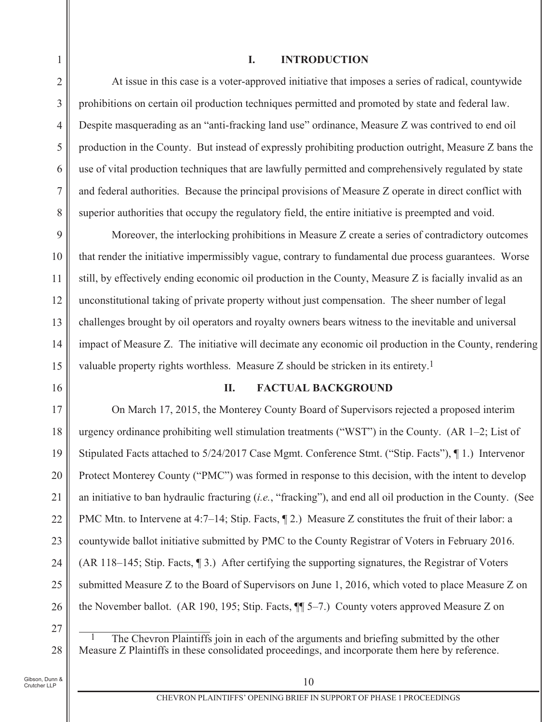#### L. **INTRODUCTION**

At issue in this case is a voter-approved initiative that imposes a series of radical, countywide prohibitions on certain oil production techniques permitted and promoted by state and federal law. Despite masquerading as an "anti-fracking land use" ordinance, Measure Z was contrived to end oil production in the County. But instead of expressly prohibiting production outright, Measure Z bans the use of vital production techniques that are lawfully permitted and comprehensively regulated by state and federal authorities. Because the principal provisions of Measure Z operate in direct conflict with superior authorities that occupy the regulatory field, the entire initiative is preempted and void.

9 Moreover, the interlocking prohibitions in Measure Z create a series of contradictory outcomes 10 that render the initiative impermissibly vague, contrary to fundamental due process guarantees. Worse still, by effectively ending economic oil production in the County, Measure Z is facially invalid as an 11 12 unconstitutional taking of private property without just compensation. The sheer number of legal challenges brought by oil operators and royalty owners bears witness to the inevitable and universal 13 impact of Measure Z. The initiative will decimate any economic oil production in the County, rendering 14 15 valuable property rights worthless. Measure Z should be stricken in its entirety.<sup>1</sup>

16

 $\mathbf{1}$ 

 $\overline{2}$ 

3

 $\overline{4}$ 

5

6

 $\overline{7}$ 

8

#### II. **FACTUAL BACKGROUND**

On March 17, 2015, the Monterey County Board of Supervisors rejected a proposed interim 17 urgency ordinance prohibiting well stimulation treatments ("WST") in the County. (AR  $1-2$ ; List of 18 19 Stipulated Facts attached to 5/24/2017 Case Mgmt. Conference Stmt. ("Stip. Facts"), 1.) Intervenor 20 Protect Monterey County ("PMC") was formed in response to this decision, with the intent to develop an initiative to ban hydraulic fracturing  $(i.e., "fracking")$ , and end all oil production in the County. (See 21 PMC Mtn. to Intervene at 4:7–14; Stip. Facts,  $\P$  2.) Measure Z constitutes the fruit of their labor: a 22 23 countywide ballot initiative submitted by PMC to the County Registrar of Voters in February 2016.  $(AR 118-145; Stip. Facts, \P 3.)$  After certifying the supporting signatures, the Registrar of Voters 24 25 submitted Measure Z to the Board of Supervisors on June 1, 2016, which voted to place Measure Z on the November ballot. (AR 190, 195; Stip. Facts,  $\P$  $\sim$  7.) County voters approved Measure Z on 26

27

28

The Chevron Plaintiffs join in each of the arguments and briefing submitted by the other Measure Z Plaintiffs in these consolidated proceedings, and incorporate them here by reference.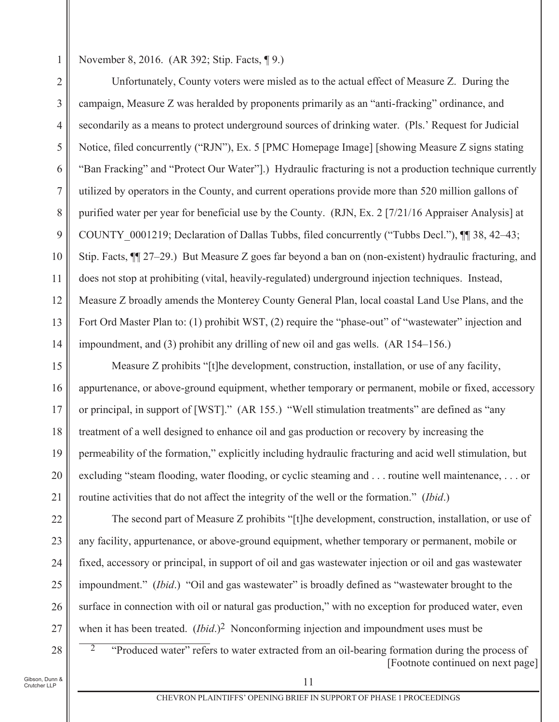November 8, 2016. (AR 392; Stip. Facts, ¶ 9.)

 $\mathbf{1}$ 

Unfortunately, County voters were misled as to the actual effect of Measure Z. During the  $\overline{2}$ campaign, Measure Z was heralded by proponents primarily as an "anti-fracking" ordinance, and 3 secondarily as a means to protect underground sources of drinking water. (Pls.' Request for Judicial  $\overline{4}$ 5 Notice, filed concurrently ("RJN"), Ex. 5 [PMC Homepage Image] [showing Measure Z signs stating "Ban Fracking" and "Protect Our Water"].) Hydraulic fracturing is not a production technique currently 6  $\overline{7}$ utilized by operators in the County, and current operations provide more than 520 million gallons of 8 purified water per year for beneficial use by the County. (RJN, Ex. 2 [7/21/16 Appraiser Analysis] at 9 COUNTY 0001219; Declaration of Dallas Tubbs, filed concurrently ("Tubbs Decl."),  $\P$  38, 42–43; Stip. Facts,  $\P$  27–29.) But Measure Z goes far beyond a ban on (non-existent) hydraulic fracturing, and 10 does not stop at prohibiting (vital, heavily-regulated) underground injection techniques. Instead, 11 12 Measure Z broadly amends the Monterey County General Plan, local coastal Land Use Plans, and the 13 Fort Ord Master Plan to: (1) prohibit WST, (2) require the "phase-out" of "wastewater" injection and impoundment, and (3) prohibit any drilling of new oil and gas wells.  $(AR 154-156.)$ 14

15 Measure Z prohibits "[t]he development, construction, installation, or use of any facility, appurtenance, or above-ground equipment, whether temporary or permanent, mobile or fixed, accessory 16 or principal, in support of [WST]." (AR 155.) "Well stimulation treatments" are defined as "any 17 18 treatment of a well designed to enhance oil and gas production or recovery by increasing the 19 permeability of the formation," explicitly including hydraulic fracturing and acid well stimulation, but 20 excluding "steam flooding, water flooding, or cyclic steaming and . . . routine well maintenance, . . . or routine activities that do not affect the integrity of the well or the formation." (Ibid.) 21

The second part of Measure Z prohibits "[t]he development, construction, installation, or use of any facility, appurtenance, or above-ground equipment, whether temporary or permanent, mobile or fixed, accessory or principal, in support of oil and gas wastewater injection or oil and gas wastewater impoundment." *(Ibid.)* "Oil and gas wastewater" is broadly defined as "wastewater brought to the surface in connection with oil or natural gas production," with no exception for produced water, even when it has been treated.  $(Ibid.)^2$  Nonconforming injection and impoundment uses must be

Gibson, Dunn &

.<br>Crutcher LLP

"Produced water" refers to water extracted from an oil-bearing formation during the process of [Footnote continued on next page]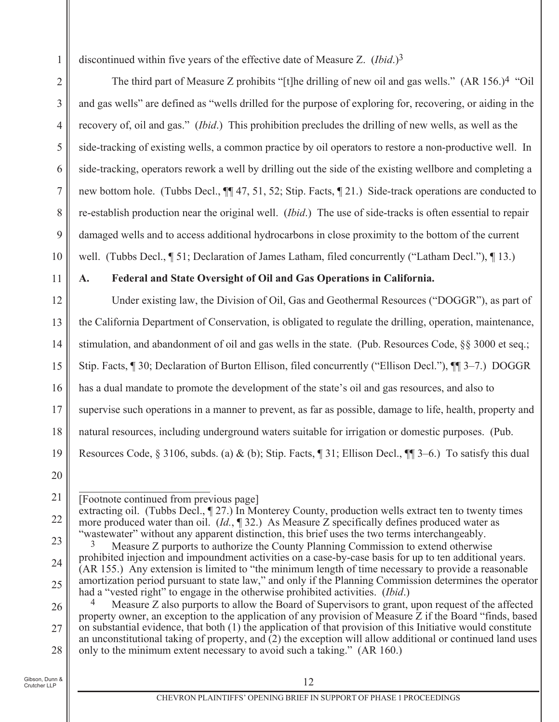discontinued within five years of the effective date of Measure Z.  $(Ibid.)^3$ 

The third part of Measure Z prohibits "[t] the drilling of new oil and gas wells." (AR 156.)<sup>4</sup> "Oil" and gas wells" are defined as "wells drilled for the purpose of exploring for, recovering, or aiding in the recovery of, oil and gas." *(Ibid.)* This prohibition precludes the drilling of new wells, as well as the side-tracking of existing wells, a common practice by oil operators to restore a non-productive well. In side-tracking, operators rework a well by drilling out the side of the existing wellbore and completing a new bottom hole. (Tubbs Decl.,  $\P$  47, 51, 52; Stip. Facts, 121.) Side-track operations are conducted to re-establish production near the original well. (*Ibid*.) The use of side-tracks is often essential to repair damaged wells and to access additional hydrocarbons in close proximity to the bottom of the current well. (Tubbs Decl., 1 51; Declaration of James Latham, filed concurrently ("Latham Decl."), 13.

11

10

 $\mathbf{1}$ 

 $\overline{2}$ 

3

 $\overline{4}$ 

5

6

 $\overline{7}$ 

8

9

#### Federal and State Oversight of Oil and Gas Operations in California. A.

Under existing law, the Division of Oil, Gas and Geothermal Resources ("DOGGR"), as part of 12 the California Department of Conservation, is obligated to regulate the drilling, operation, maintenance, 13 stimulation, and abandonment of oil and gas wells in the state. (Pub. Resources Code, §§ 3000 et seq.; 14 15 Stip. Facts, ¶ 30; Declaration of Burton Ellison, filed concurrently ("Ellison Decl."), ¶ [[ 3–7.) DOGGR has a dual mandate to promote the development of the state's oil and gas resources, and also to 16 supervise such operations in a manner to prevent, as far as possible, damage to life, health, property and 17 natural resources, including underground waters suitable for irrigation or domestic purposes. (Pub. 18 19 Resources Code, § 3106, subds. (a) & (b); Stip. Facts,  $\P$  31; Ellison Decl.,  $\P$  3–6.) To satisfy this dual

<sup>21</sup> [Footnote continued from previous page]

extracting oil. (Tubbs Decl., 127.) In Monterey County, production wells extract ten to twenty times 22 more produced water than oil.  $(Id, \P 32)$  As Measure Z specifically defines produced water as "wastewater" without any apparent distinction, this brief uses the two terms interchangeably.

<sup>23</sup> 3 Measure Z purports to authorize the County Planning Commission to extend otherwise prohibited injection and impoundment activities on a case-by-case basis for up to ten additional years. 24 (AR 155.) Any extension is limited to "the minimum length of time necessary to provide a reasonable amortization period pursuant to state law," and only if the Planning Commission determines the operator 25 had a "vested right" to engage in the otherwise prohibited activities. (*Ibid.*)

 $\overline{4}$ Measure Z also purports to allow the Board of Supervisors to grant, upon request of the affected 26 property owner, an exception to the application of any provision of Measure Z if the Board "finds, based" on substantial evidence, that both (1) the application of that provision of this Initiative would constitute 27 an unconstitutional taking of property, and  $\overline{2}$ ) the exception will allow additional or continued land uses only to the minimum extent necessary to avoid such a taking." (AR 160.) 28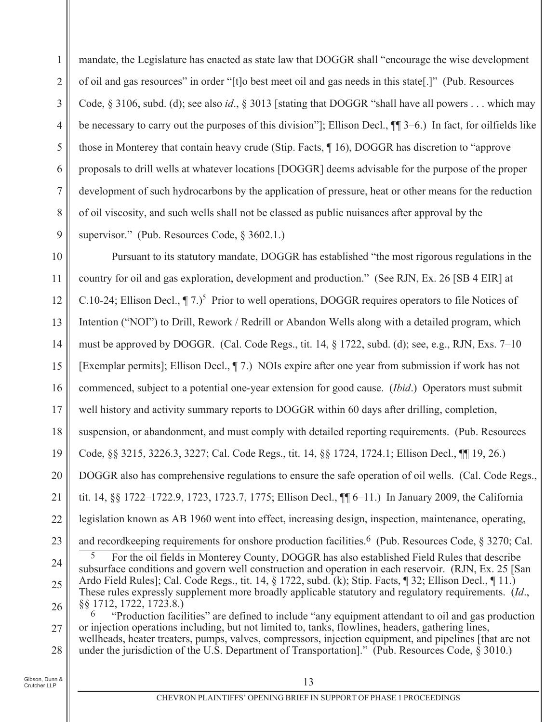mandate, the Legislature has enacted as state law that DOGGR shall "encourage the wise development 1 of oil and gas resources" in order "[t]o best meet oil and gas needs in this state[.]" (Pub. Resources  $\overline{2}$ Code, § 3106, subd. (d); see also id., § 3013 [stating that DOGGR "shall have all powers . . . which may 3 be necessary to carry out the purposes of this division"]; Ellison Decl.,  $\P$ [9] 3–6.) In fact, for oilfields like  $\overline{4}$ 5 those in Monterey that contain heavy crude (Stip. Facts, 16), DOGGR has discretion to "approve" proposals to drill wells at whatever locations [DOGGR] deems advisable for the purpose of the proper 6  $\tau$ development of such hydrocarbons by the application of pressure, heat or other means for the reduction 8 of oil viscosity, and such wells shall not be classed as public nuisances after approval by the supervisor." (Pub. Resources Code, § 3602.1.) 9

10 Pursuant to its statutory mandate, DOGGR has established "the most rigorous regulations in the country for oil and gas exploration, development and production." (See RJN, Ex. 26 [SB 4 EIR] at 11 C.10-24; Ellison Decl.,  $\P$ 7.)<sup>5</sup> Prior to well operations, DOGGR requires operators to file Notices of 12 Intention ("NOI") to Drill, Rework / Redrill or Abandon Wells along with a detailed program, which 13 must be approved by DOGGR. (Cal. Code Regs., tit. 14,  $\S$  1722, subd. (d); see, e.g., RJN, Exs. 7–10 14 15 [Exemplar permits]; Ellison Decl., 17.] NOIs expire after one year from submission if work has not commenced, subject to a potential one-year extension for good cause. *(Ibid.)* Operators must submit 16 well history and activity summary reports to DOGGR within 60 days after drilling, completion, 17 suspension, or abandonment, and must comply with detailed reporting requirements. (Pub. Resources 18 19 Code, §§ 3215, 3226.3, 3227; Cal. Code Regs., tit. 14, §§ 1724, 1724.1; Ellison Decl., ¶ 19, 26.) 20 DOGGR also has comprehensive regulations to ensure the safe operation of oil wells. (Cal. Code Regs., tit. 14, 88 1722–1722.9, 1723, 1723.7, 1775; Ellison Decl., ¶ 6–11.) In January 2009, the California 21 legislation known as AB 1960 went into effect, increasing design, inspection, maintenance, operating, 22 and recordkeeping requirements for onshore production facilities.<sup>6</sup> (Pub. Resources Code, § 3270; Cal. 23 For the oil fields in Monterey County, DOGGR has also established Field Rules that describe 24 subsurface conditions and govern well construction and operation in each reservoir. (RJN, Ex. 25 [San Ardo Field Rules]; Cal. Code Regs., tit. 14, § 1722, subd. (k); Stip. Facts, ¶ 32; Ellison Decl., ¶ 11.) 25 These rules expressly supplement more broadly applicable statutory and regulatory requirements. (Id., 88 1712, 1722, 1723.8.) 26 "Production facilities" are defined to include "any equipment attendant to oil and gas production or injection operations including, but not limited to, tanks, flowlines, headers, gathering lines, 27 wellheads, heater treaters, pumps, valves, compressors, injection equipment, and pipelines [that are not under the jurisdiction of the U.S. Department of Transportation]." (Pub. Resources Code, § 3010.) 28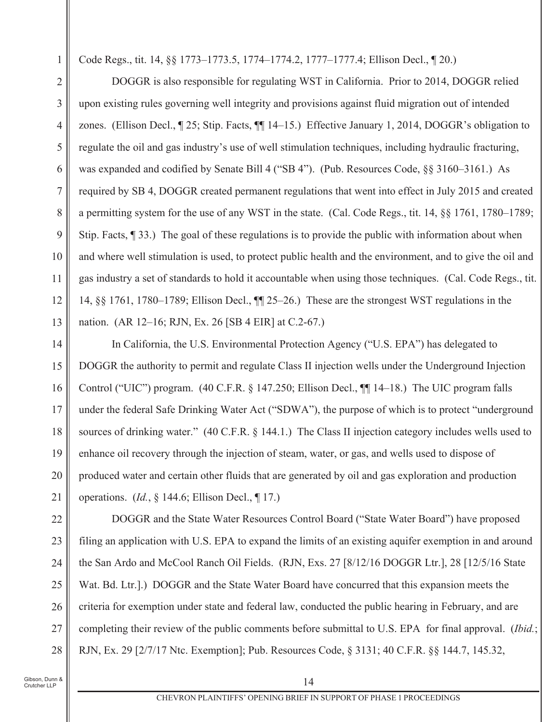Code Regs., tit. 14, §§ 1773–1773.5, 1774–1774.2, 1777–1777.4; Ellison Decl., ¶ 20.)

 $\overline{2}$ DOGGR is also responsible for regulating WST in California. Prior to 2014, DOGGR relied upon existing rules governing well integrity and provisions against fluid migration out of intended 3 zones. (Ellison Decl., 1 25; Stip. Facts, 11 14–15.) Effective January 1, 2014, DOGGR's obligation to  $\overline{4}$ 5 regulate the oil and gas industry's use of well stimulation techniques, including hydraulic fracturing, was expanded and codified by Senate Bill 4 ("SB 4"). (Pub. Resources Code, §§ 3160–3161.) As 6  $\overline{7}$ required by SB 4, DOGGR created permanent regulations that went into effect in July 2015 and created 8 a permitting system for the use of any WST in the state. (Cal. Code Regs., tit. 14, §§ 1761, 1780–1789; 9 Stip. Facts,  $\P$  33.) The goal of these regulations is to provide the public with information about when 10 and where well stimulation is used, to protect public health and the environment, and to give the oil and gas industry a set of standards to hold it accountable when using those techniques. (Cal. Code Regs., tit. 11 12 14,  $\S$  1761, 1780–1789; Ellison Decl.,  $\P$  25–26.) These are the strongest WST regulations in the 13 nation. (AR 12–16; RJN, Ex. 26 [SB 4 EIR] at C.2-67.)

In California, the U.S. Environmental Protection Agency ("U.S. EPA") has delegated to 14 15 DOGGR the authority to permit and regulate Class II injection wells under the Underground Injection Control ("UIC") program. (40 C.F.R. § 147.250; Ellison Decl., ¶ [14–18.) The UIC program falls 16 under the federal Safe Drinking Water Act ("SDWA"), the purpose of which is to protect "underground 17 sources of drinking water." (40 C.F.R. § 144.1.) The Class II injection category includes wells used to 18 19 enhance oil recovery through the injection of steam, water, or gas, and wells used to dispose of 20 produced water and certain other fluids that are generated by oil and gas exploration and production operations. (*Id.*,  $\&$  144.6; Ellison Decl.,  $\P$  17.) 21

DOGGR and the State Water Resources Control Board ("State Water Board") have proposed 22 23 filing an application with U.S. EPA to expand the limits of an existing aquifer exemption in and around the San Ardo and McCool Ranch Oil Fields. (RJN, Exs. 27 [8/12/16 DOGGR Ltr.], 28 [12/5/16 State 24 25 Wat. Bd. Ltr. 1.) DOGGR and the State Water Board have concurred that this expansion meets the criteria for exemption under state and federal law, conducted the public hearing in February, and are 26 completing their review of the public comments before submittal to U.S. EPA for final approval. *(Ibid.*; 27 RJN, Ex. 29 [2/7/17 Ntc. Exemption]; Pub. Resources Code, § 3131; 40 C.F.R. §§ 144.7, 145.32, 28

Gibson, Dunn & Crutcher LLP

 $\mathbf{1}$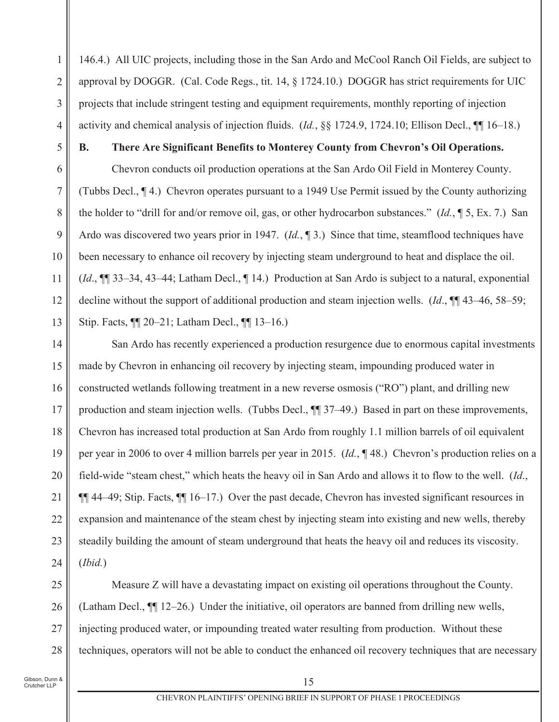146.4.) All UIC projects, including those in the San Ardo and McCool Ranch Oil Fields, are subject to approval by DOGGR. (Cal. Code Regs., tit. 14,  $\S$  1724.10.) DOGGR has strict requirements for UIC projects that include stringent testing and equipment requirements, monthly reporting of injection activity and chemical analysis of injection fluids.  $(Id., \S \S 1724.9, 1724.10;$  Ellison Decl.,  $\P\P$  16–18.)

5

**B.** 

 $\mathbf{1}$ 

 $\overline{2}$ 

3

 $\overline{4}$ 

6

 $\tau$ 

8

9

10

11

12

13

## There Are Significant Benefits to Monterey County from Chevron's Oil Operations.

Chevron conducts oil production operations at the San Ardo Oil Field in Monterey County. (Tubbs Decl., 14.) Chevron operates pursuant to a 1949 Use Permit issued by the County authorizing the holder to "drill for and/or remove oil, gas, or other hydrocarbon substances."  $(Id, \P 5, Ex. 7.)$  San Ardo was discovered two years prior in 1947.  $(Id, \P 3)$  Since that time, steamflood techniques have been necessary to enhance oil recovery by injecting steam underground to heat and displace the oil.  $(Id., \P \$  33–34, 43–44; Latham Decl.,  $\P$  14.) Production at San Ardo is subject to a natural, exponential decline without the support of additional production and steam injection wells.  $(Id, \P$  43–46, 58–59; Stip. Facts, ¶ 20–21; Latham Decl., ¶ 13–16.)

San Ardo has recently experienced a production resurgence due to enormous capital investments 14 15 made by Chevron in enhancing oil recovery by injecting steam, impounding produced water in constructed wetlands following treatment in a new reverse osmosis ("RO") plant, and drilling new 16 production and steam injection wells. (Tubbs Decl., ¶ 37–49.) Based in part on these improvements, 17 Chevron has increased total production at San Ardo from roughly 1.1 million barrels of oil equivalent 18 per year in 2006 to over 4 million barrels per year in 2015.  $(Id, \P 48)$  Chevron's production relies on a 19 20 field-wide "steam chest," which heats the heavy oil in San Ardo and allows it to flow to the well. (Id.,  $\P\P$  44–49; Stip. Facts,  $\P\P$  16–17.) Over the past decade, Chevron has invested significant resources in 21 expansion and maintenance of the steam chest by injecting steam into existing and new wells, thereby 22 23 steadily building the amount of steam underground that heats the heavy oil and reduces its viscosity.  $(Ibid.)$ 24

Measure Z will have a devastating impact on existing oil operations throughout the County. 25 (Latham Decl.,  $\P$  12–26.) Under the initiative, oil operators are banned from drilling new wells, 26 injecting produced water, or impounding treated water resulting from production. Without these 27 techniques, operators will not be able to conduct the enhanced oil recovery techniques that are necessary 28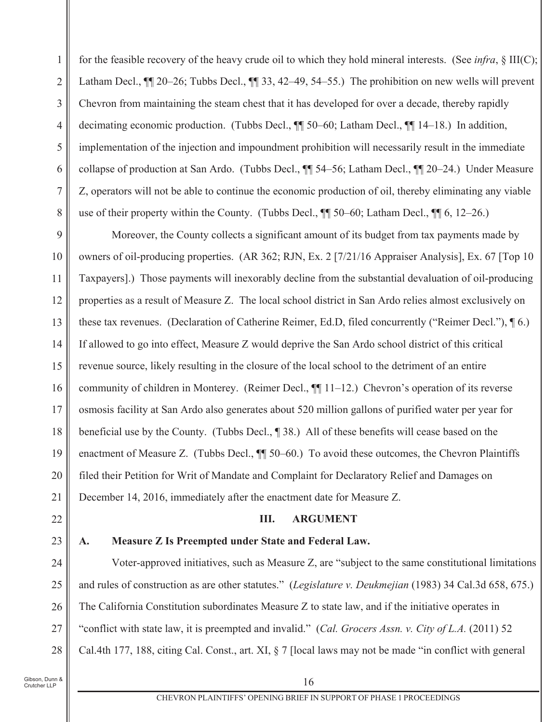for the feasible recovery of the heavy crude oil to which they hold mineral interests. (See *infra*,  $\S$  III(C);  $\mathbf{1}$ Latham Decl., III 20-26; Tubbs Decl., III 33, 42-49, 54-55.) The prohibition on new wells will prevent  $\overline{2}$ Chevron from maintaining the steam chest that it has developed for over a decade, thereby rapidly 3 decimating economic production. (Tubbs Decl.,  $\P$  50–60; Latham Decl.,  $\P$  14–18.) In addition,  $\overline{4}$ 5 implementation of the injection and impoundment prohibition will necessarily result in the immediate collapse of production at San Ardo. (Tubbs Decl., ¶ 54–56; Latham Decl., ¶ 20–24.) Under Measure 6 Z, operators will not be able to continue the economic production of oil, thereby eliminating any viable 7 use of their property within the County. (Tubbs Decl.,  $\P\P$  50–60; Latham Decl.,  $\P\P$  6, 12–26.) 8

Moreover, the County collects a significant amount of its budget from tax payments made by 9 10 owners of oil-producing properties. (AR 362; RJN, Ex. 2 [7/21/16 Appraiser Analysis], Ex. 67 [Top 10] Taxpayers].) Those payments will inexorably decline from the substantial devaluation of oil-producing 11 12 properties as a result of Measure Z. The local school district in San Ardo relies almost exclusively on these tax revenues. (Declaration of Catherine Reimer, Ed.D, filed concurrently ("Reimer Decl."),  $\P(6)$ .) 13 If allowed to go into effect, Measure Z would deprive the San Ardo school district of this critical 14 15 revenue source, likely resulting in the closure of the local school to the detriment of an entire community of children in Monterey. (Reimer Decl.,  $\P$ [11-12.) Chevron's operation of its reverse 16 osmosis facility at San Ardo also generates about 520 million gallons of purified water per year for 17 beneficial use by the County. (Tubbs Decl., 198.) All of these benefits will cease based on the 18 enactment of Measure Z. (Tubbs Decl.,  $\P$  50–60.) To avoid these outcomes, the Chevron Plaintiffs 19 20 filed their Petition for Writ of Mandate and Complaint for Declaratory Relief and Damages on December 14, 2016, immediately after the enactment date for Measure Z. 21

22

25

# 23

A.

# Measure Z Is Preempted under State and Federal Law.

III.

Voter-approved initiatives, such as Measure Z, are "subject to the same constitutional limitations 24 and rules of construction as are other statutes." (Legislature v. Deukmejian (1983) 34 Cal.3d 658, 675.) The California Constitution subordinates Measure Z to state law, and if the initiative operates in 26 "conflict with state law, it is preempted and invalid." (Cal. Grocers Assn. v. City of L.A. (2011) 52 27 Cal.4th 177, 188, citing Cal. Const., art. XI, § 7 [local laws may not be made "in conflict with general 28

**ARGUMENT**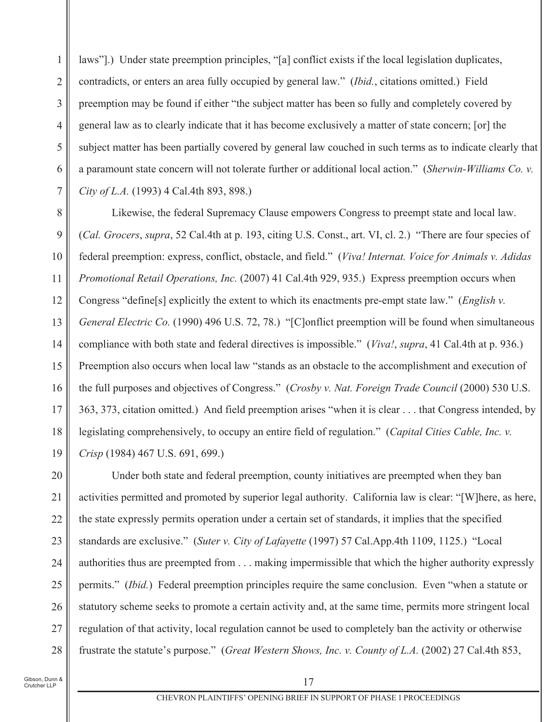laws"].) Under state preemption principles, "[a] conflict exists if the local legislation duplicates,  $\mathbf{1}$ contradicts, or enters an area fully occupied by general law." *(Ibid., citations omitted.)* Field  $\overline{2}$ preemption may be found if either "the subject matter has been so fully and completely covered by 3 general law as to clearly indicate that it has become exclusively a matter of state concern; [or] the  $\overline{4}$ 5 subject matter has been partially covered by general law couched in such terms as to indicate clearly that a paramount state concern will not tolerate further or additional local action." (Sherwin-Williams Co. v. 6 City of L.A. (1993) 4 Cal.4th 893, 898.)  $\overline{7}$ 

8 Likewise, the federal Supremacy Clause empowers Congress to preempt state and local law. 9 (Cal. Grocers, supra, 52 Cal.4th at p. 193, citing U.S. Const., art. VI, cl. 2.) "There are four species of federal preemption: express, conflict, obstacle, and field." (Viva! Internat, Voice for Animals v. Adidas 10 Promotional Retail Operations, Inc. (2007) 41 Cal.4th 929, 935.) Express preemption occurs when 11 12 Congress "define[s] explicitly the extent to which its enactments pre-empt state law." (*English v.* 13 General Electric Co. (1990) 496 U.S. 72, 78.) "[C] onflict preemption will be found when simultaneous compliance with both state and federal directives is impossible." (Viva!, supra, 41 Cal.4th at p. 936.) 14 15 Preemption also occurs when local law "stands as an obstacle to the accomplishment and execution of the full purposes and objectives of Congress." (Crosby v. Nat. Foreign Trade Council (2000) 530 U.S. 16 363, 373, citation omitted.) And field preemption arises "when it is clear . . . that Congress intended, by 17 18 legislating comprehensively, to occupy an entire field of regulation." (Capital Cities Cable, Inc. y. 19 Crisp (1984) 467 U.S. 691, 699.)

20 Under both state and federal preemption, county initiatives are preempted when they ban activities permitted and promoted by superior legal authority. California law is clear: "[W]here, as here, 21 the state expressly permits operation under a certain set of standards, it implies that the specified 22 23 standards are exclusive." (Suter v. City of Lafayette (1997) 57 Cal.App.4th 1109, 1125.) "Local authorities thus are preempted from . . . making impermissible that which the higher authority expressly 24 25 permits." *(Ibid.)* Federal preemption principles require the same conclusion. Even "when a statute or statutory scheme seeks to promote a certain activity and, at the same time, permits more stringent local 26 27 regulation of that activity, local regulation cannot be used to completely ban the activity or otherwise frustrate the statute's purpose." (Great Western Shows, Inc. v. County of L.A. (2002) 27 Cal.4th 853, 28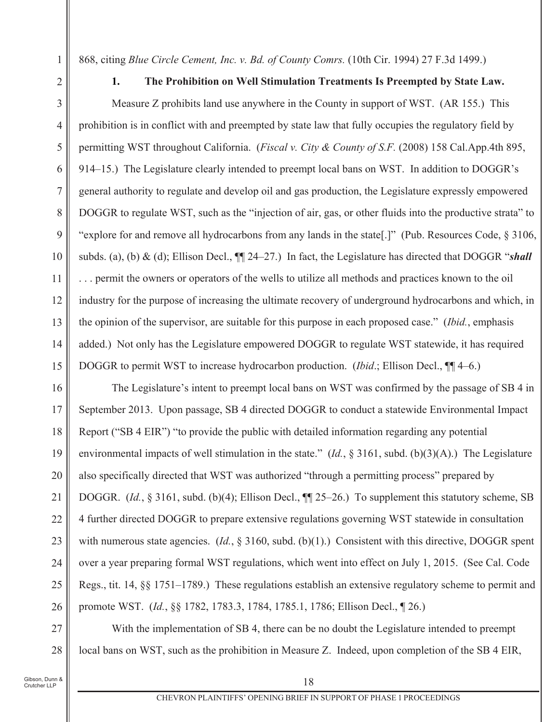868, citing *Blue Circle Cement, Inc. v. Bd. of County Comrs.* (10th Cir. 1994) 27 F.3d 1499.)

 $1.$ The Prohibition on Well Stimulation Treatments Is Preempted by State Law.

3 Measure Z prohibits land use anywhere in the County in support of WST. (AR 155.) This prohibition is in conflict with and preempted by state law that fully occupies the regulatory field by  $\overline{4}$ 5 permitting WST throughout California. (*Fiscal v. City & County of S.F.* (2008) 158 Cal.App.4th 895, 6 914–15.) The Legislature clearly intended to preempt local bans on WST. In addition to DOGGR's  $\tau$ general authority to regulate and develop oil and gas production, the Legislature expressly empowered 8 DOGGR to regulate WST, such as the "injection of air, gas, or other fluids into the productive strata" to "explore for and remove all hydrocarbons from any lands in the state[.]" (Pub. Resources Code, § 3106, 9 subds. (a), (b) & (d); Ellison Decl.,  $\P$  24–27.) In fact, the Legislature has directed that DOGGR "shall 10 ... permit the owners or operators of the wells to utilize all methods and practices known to the oil 11 12 industry for the purpose of increasing the ultimate recovery of underground hydrocarbons and which, in 13 the opinion of the supervisor, are suitable for this purpose in each proposed case." *(Ibid., emphasis*) added.) Not only has the Legislature empowered DOGGR to regulate WST statewide, it has required 14 15 DOGGR to permit WST to increase hydrocarbon production. *(Ibid.*; Ellison Decl.,  $\P$  4–6.)

The Legislature's intent to preempt local bans on WST was confirmed by the passage of SB 4 in 16 17 September 2013. Upon passage, SB 4 directed DOGGR to conduct a statewide Environmental Impact 18 Report ("SB 4 EIR") "to provide the public with detailed information regarding any potential 19 environmental impacts of well stimulation in the state."  $(Id, § 3161, subd. (b)(3)(A).)$  The Legislature 20 also specifically directed that WST was authorized "through a permitting process" prepared by DOGGR. (*Id.*, § 3161, subd. (b)(4); Ellison Decl.,  $\P$  25–26.) To supplement this statutory scheme, SB 21 4 further directed DOGGR to prepare extensive regulations governing WST statewide in consultation 22 23 with numerous state agencies.  $(Id, \S 3160, \text{subd. (b)(1).})$  Consistent with this directive, DOGGR spent over a year preparing formal WST regulations, which went into effect on July 1, 2015. (See Cal. Code 24 25 Regs., tit. 14,  $\S$  1751–1789.) These regulations establish an extensive regulatory scheme to permit and promote WST. (Id., §§ 1782, 1783.3, 1784, 1785.1, 1786; Ellison Decl., ¶ 26.) 26

With the implementation of SB 4, there can be no doubt the Legislature intended to preempt 27 local bans on WST, such as the prohibition in Measure Z. Indeed, upon completion of the SB 4 EIR, 28

 $\mathbf{1}$ 

 $\overline{2}$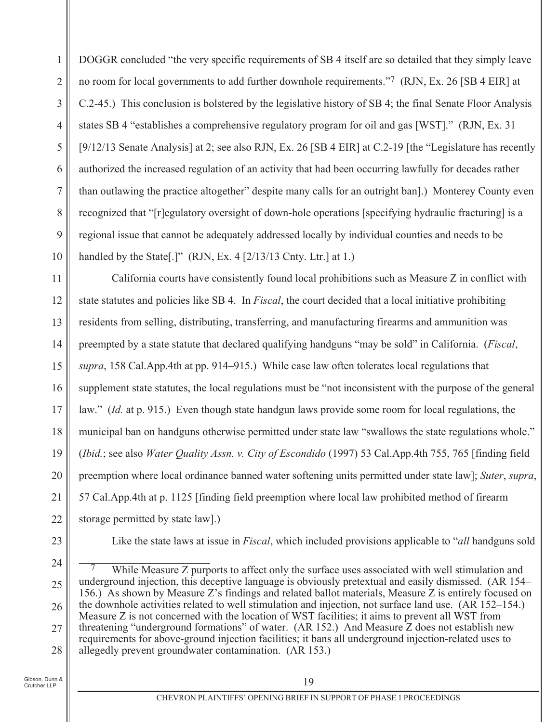DOGGR concluded "the very specific requirements of SB 4 itself are so detailed that they simply leave 1 no room for local governments to add further downhole requirements."<sup>7</sup> (RJN, Ex. 26 [SB 4 EIR] at  $\overline{2}$ C.2-45.) This conclusion is bolstered by the legislative history of SB 4; the final Senate Floor Analysis 3 states SB 4 "establishes a comprehensive regulatory program for oil and gas [WST]." (RJN, Ex. 31)  $\overline{4}$ 5 [9/12/13 Senate Analysis] at 2; see also RJN, Ex. 26 [SB 4 EIR] at C.2-19 [the "Legislature has recently 6 authorized the increased regulation of an activity that had been occurring lawfully for decades rather  $\overline{7}$ than outlawing the practice altogether" despite many calls for an outright ban].) Monterey County even 8 recognized that "[r]egulatory oversight of down-hole operations [specifying hydraulic fracturing] is a 9 regional issue that cannot be adequately addressed locally by individual counties and needs to be 10 handled by the State [.]"  $(RJN, Ex. 4 \frac{2}{13/13}$  Cnty. Ltr. ] at 1.)

California courts have consistently found local prohibitions such as Measure Z in conflict with 11 12 state statutes and policies like SB 4. In *Fiscal*, the court decided that a local initiative prohibiting residents from selling, distributing, transferring, and manufacturing firearms and ammunition was 13 preempted by a state statute that declared qualifying handguns "may be sold" in California. (*Fiscal*, 14 15 supra, 158 Cal.App.4th at pp. 914–915.) While case law often tolerates local regulations that supplement state statutes, the local regulations must be "not inconsistent with the purpose of the general 16 17 law." *(Id. at p. 915.)* Even though state handgun laws provide some room for local regulations, the municipal ban on handguns otherwise permitted under state law "swallows the state regulations whole." 18 19 (Ibid.; see also Water Ouality Assn. v. City of Escondido (1997) 53 Cal.App.4th 755, 765 [finding field 20 preemption where local ordinance banned water softening units permitted under state law]; Suter, supra, 57 Cal. App. 4th at p. 1125 [finding field preemption where local law prohibited method of firearm 21 storage permitted by state law. 22

23

Like the state laws at issue in *Fiscal*, which included provisions applicable to "*all* handguns sold

24 While Measure Z purports to affect only the surface uses associated with well stimulation and underground injection, this deceptive language is obviously pretextual and easily dismissed. (AR 154– 25 156.) As shown by Measure Z's findings and related ballot materials, Measure Z is entirely focused on the downhole activities related to well stimulation and injection, not surface land use. (AR 152–154.) 26 Measure Z is not concerned with the location of WST facilities; it aims to prevent all WST from threatening "underground formations" of water. (AR 152.) And Measure Z does not establish new 27 requirements for above-ground injection facilities; it bans all underground injection-related uses to allegedly prevent groundwater contamination. (AR 153.) 28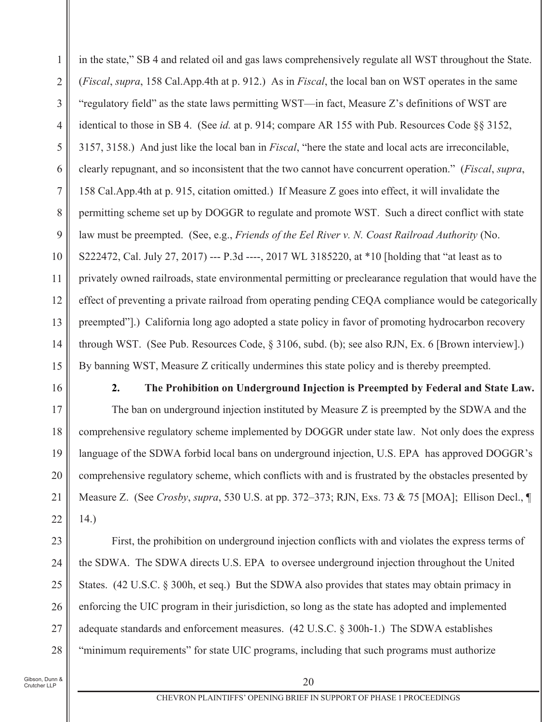in the state," SB 4 and related oil and gas laws comprehensively regulate all WST throughout the State.  $\mathbf{1}$  $\overline{2}$ (*Fiscal, supra, 158 Cal.App.4th at p. 912.*) As in *Fiscal*, the local ban on WST operates in the same "regulatory field" as the state laws permitting WST—in fact, Measure Z's definitions of WST are 3 identical to those in SB 4. (See id. at p. 914; compare AR 155 with Pub. Resources Code §§ 3152,  $\overline{4}$ 5 3157, 3158.) And just like the local ban in *Fiscal*, "here the state and local acts are irreconcilable, clearly repugnant, and so inconsistent that the two cannot have concurrent operation." (Fiscal, supra, 6 158 Cal.App.4th at p. 915, citation omitted.) If Measure Z goes into effect, it will invalidate the  $\overline{7}$ 8 permitting scheme set up by DOGGR to regulate and promote WST. Such a direct conflict with state 9 law must be preempted. (See, e.g., Friends of the Eel River v. N. Coast Railroad Authority (No. S222472, Cal. July 27, 2017) --- P.3d ----, 2017 WL 3185220, at \*10 [holding that "at least as to 10 privately owned railroads, state environmental permitting or preclearance regulation that would have the 11 12 effect of preventing a private railroad from operating pending CEQA compliance would be categorically 13 preempted"].) California long ago adopted a state policy in favor of promoting hydrocarbon recovery through WST. (See Pub. Resources Code,  $\S 3106$ , subd. (b); see also RJN, Ex. 6 [Brown interview].) 14 15 By banning WST, Measure Z critically undermines this state policy and is thereby preempted.

16

 $2.$ 

The Prohibition on Underground Injection is Preempted by Federal and State Law.

The ban on underground injection instituted by Measure Z is preempted by the SDWA and the 17 comprehensive regulatory scheme implemented by DOGGR under state law. Not only does the express 18 19 language of the SDWA forbid local bans on underground injection, U.S. EPA has approved DOGGR's 20 comprehensive regulatory scheme, which conflicts with and is frustrated by the obstacles presented by Measure Z. (See Crosby, supra, 530 U.S. at pp. 372–373; RJN, Exs. 73 & 75 [MOA]; Ellison Decl., [ 21  $(14)$ 22

23 First, the prohibition on underground injection conflicts with and violates the express terms of the SDWA. The SDWA directs U.S. EPA to oversee underground injection throughout the United 24 25 States. (42 U.S.C. § 300h, et seq.) But the SDWA also provides that states may obtain primacy in enforcing the UIC program in their jurisdiction, so long as the state has adopted and implemented 26 adequate standards and enforcement measures. (42 U.S.C. § 300h-1.) The SDWA establishes 27 "minimum requirements" for state UIC programs, including that such programs must authorize 28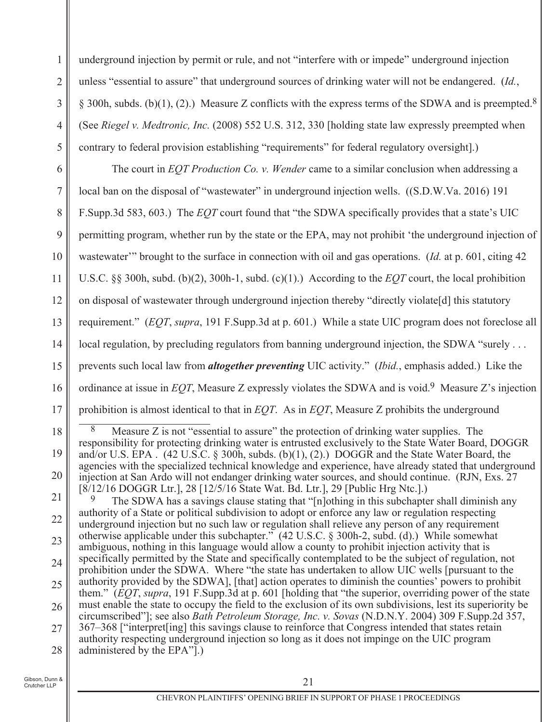underground injection by permit or rule, and not "interfere with or impede" underground injection  $\mathbf{1}$ unless "essential to assure" that underground sources of drinking water will not be endangered. (Id.,  $\overline{2}$ § 300h, subds. (b)(1), (2).) Measure Z conflicts with the express terms of the SDWA and is preempted.<sup>8</sup> 3 (See Riegel v. Medtronic, Inc. (2008) 552 U.S. 312, 330 [holding state law expressly preempted when  $\overline{4}$ 5 contrary to federal provision establishing "requirements" for federal regulatory oversight.)

6 The court in *EOT Production Co. v. Wender* came to a similar conclusion when addressing a  $\tau$ local ban on the disposal of "wastewater" in underground injection wells. ((S.D.W.Va. 2016) 191 8 F.Supp.3d 583, 603.) The *EOT* court found that "the SDWA specifically provides that a state's UIC permitting program, whether run by the state or the EPA, may not prohibit 'the underground injection of 9 10 wastewater" brought to the surface in connection with oil and gas operations. (Id. at p. 601, citing 42) U.S.C. §§ 300h, subd. (b)(2), 300h-1, subd. (c)(1).) According to the  $EOT$  court, the local prohibition 11 12 on disposal of was tewater through underground injection thereby "directly violate<sup>[d]</sup> this statutory requirement." (EOT, supra, 191 F.Supp.3d at p. 601.) While a state UIC program does not foreclose all 13 local regulation, by precluding regulators from banning underground injection, the SDWA "surely  $\dots$ 14 prevents such local law from *altogether preventing* UIC activity." (*Ibid.*, emphasis added.) Like the 15 ordinance at issue in *EOT*, Measure Z expressly violates the SDWA and is void.<sup>9</sup> Measure Z's injection 16 prohibition is almost identical to that in  $EOT$ . As in  $EOT$ , Measure Z prohibits the underground 17

18 8 Measure Z is not "essential to assure" the protection of drinking water supplies. The responsibility for protecting drinking water is entrusted exclusively to the State Water Board, DOGGR 19 and/or U.S. EPA. (42 U.S.C. § 300h, subds. (b)(1), (2).) DOGGR and the State Water Board, the agencies with the specialized technical knowledge and experience, have already stated that underground 20 injection at San Ardo will not endanger drinking water sources, and should continue. (RJN, Exs. 27) [8/12/16 DOGGR Ltr.], 28 [12/5/16 State Wat. Bd. Ltr.], 29 [Public Hrg Ntc.].)

21 The SDWA has a savings clause stating that "[n]othing in this subchapter shall diminish any authority of a State or political subdivision to adopt or enforce any law or regulation respecting 22 underground injection but no such law or regulation shall relieve any person of any requirement otherwise applicable under this subchapter."  $(42 \text{ U.S.C. } § 300h-2, \text{ subd. } (d).)$  While somewhat 23 ambiguous, nothing in this language would allow a county to prohibit injection activity that is specifically permitted by the State and specifically contemplated to be the subject of regulation, not 24 prohibition under the SDWA. Where "the state has undertaken to allow UIC wells [pursuant to the authority provided by the SDWA], [that] action operates to diminish the counties' powers to prohibit 25 them." (EQT, supra, 191 F.Supp.3d at p. 601 [holding that "the superior, overriding power of the state must enable the state to occupy the field to the exclusion of its own subdivisions, lest its superiority be 26 circumscribed"]; see also *Bath Petroleum Storage, Inc. v. Sovas* (N.D.N.Y. 2004) 309 F.Supp.2d 357, 367–368 ["interpret[ing] this savings clause to reinforce that Congress intended that states retain 27 authority respecting underground injection so long as it does not impinge on the UIC program administered by the EPA".) 28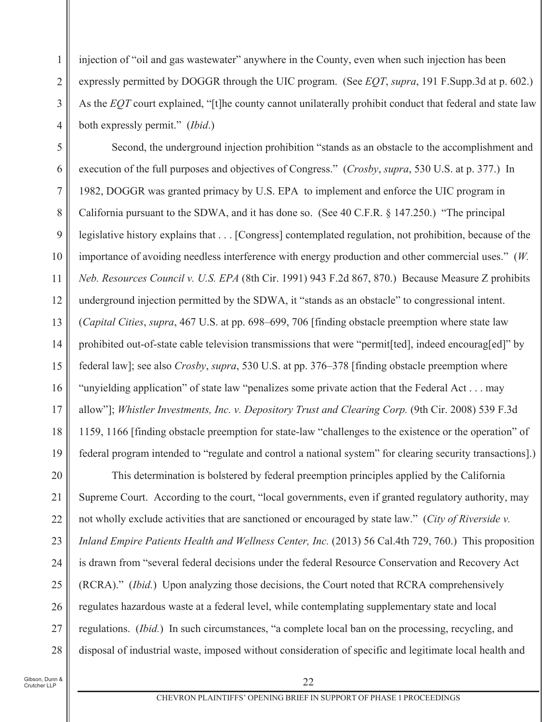injection of "oil and gas wastewater" anywhere in the County, even when such injection has been  $\mathbf{1}$ expressly permitted by DOGGR through the UIC program. (See *EOT*, *supra*, 191 F. Supp. 3d at p. 602.)  $\overline{2}$ As the EOT court explained, "[t] the county cannot unilaterally prohibit conduct that federal and state law 3 both expressly permit." *(Ibid.)*  $\overline{4}$ 

5 Second, the underground injection prohibition "stands as an obstacle to the accomplishment and execution of the full purposes and objectives of Congress." (Crosby, supra, 530 U.S. at p. 377.) In 6  $\overline{7}$ 1982, DOGGR was granted primacy by U.S. EPA to implement and enforce the UIC program in 8 California pursuant to the SDWA, and it has done so. (See 40 C.F.R. § 147.250.) "The principal 9 legislative history explains that . . . [Congress] contemplated regulation, not prohibition, because of the importance of avoiding needless interference with energy production and other commercial uses."  $(W,$ 10 Neb. Resources Council v. U.S. EPA (8th Cir. 1991) 943 F.2d 867, 870.) Because Measure Z prohibits 11 12 underground injection permitted by the SDWA, it "stands as an obstacle" to congressional intent. 13 *(Capital Cities, supra, 467 U.S. at pp. 698–699, 706 [finding obstacle preemption where state law* prohibited out-of-state cable television transmissions that were "permit [ted], indeed encouraged]" by 14 15 federal law]; see also *Crosby*, *supra*, 530 U.S. at pp. 376–378 [finding obstacle preemption where 16 "unvielding application" of state law "penalizes some private action that the Federal Act... may 17 allow"]; Whistler Investments, Inc. v. Depository Trust and Clearing Corp. (9th Cir. 2008) 539 F.3d 18 1159, 1166 [finding obstacle preemption for state-law "challenges to the existence or the operation" of 19 federal program intended to "regulate and control a national system" for clearing security transactions].

20 This determination is bolstered by federal preemption principles applied by the California 21 Supreme Court. According to the court, "local governments, even if granted regulatory authority, may not wholly exclude activities that are sanctioned or encouraged by state law." (City of Riverside v. 22 23 Inland Empire Patients Health and Wellness Center, Inc. (2013) 56 Cal.4th 729, 760.) This proposition is drawn from "several federal decisions under the federal Resource Conservation and Recovery Act 24 25 (RCRA)." *(Ibid.)* Upon analyzing those decisions, the Court noted that RCRA comprehensively regulates hazardous waste at a federal level, while contemplating supplementary state and local 26 27 regulations. *(Ibid.)* In such circumstances, "a complete local ban on the processing, recycling, and disposal of industrial waste, imposed without consideration of specific and legitimate local health and 28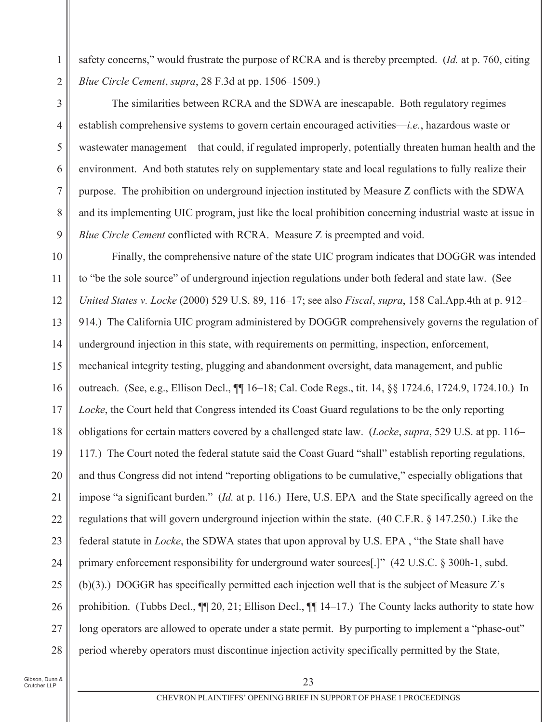safety concerns," would frustrate the purpose of RCRA and is thereby preempted. (*Id.* at p. 760, citing Blue Circle Cement, supra, 28 F.3d at pp. 1506–1509.)

The similarities between RCRA and the SDWA are inescapable. Both regulatory regimes establish comprehensive systems to govern certain encouraged activities—*i.e.*, hazardous waste or wastewater management—that could, if regulated improperly, potentially threaten human health and the environment. And both statutes rely on supplementary state and local regulations to fully realize their purpose. The prohibition on underground injection instituted by Measure Z conflicts with the SDWA and its implementing UIC program, just like the local prohibition concerning industrial waste at issue in Blue Circle Cement conflicted with RCRA. Measure Z is preempted and void.

10 Finally, the comprehensive nature of the state UIC program indicates that DOGGR was intended to "be the sole source" of underground injection regulations under both federal and state law. (See 11 12 United States v. Locke (2000) 529 U.S. 89, 116-17; see also Fiscal, supra, 158 Cal.App.4th at p. 912-13 914.) The California UIC program administered by DOGGR comprehensively governs the regulation of underground injection in this state, with requirements on permitting, inspection, enforcement, 14 15 mechanical integrity testing, plugging and abandonment oversight, data management, and public outreach. (See, e.g., Ellison Decl., ¶ 16–18; Cal. Code Regs., tit. 14, 88 1724.6, 1724.9, 1724.10.) In 16 17 *Locke*, the Court held that Congress intended its Coast Guard regulations to be the only reporting 18 obligations for certain matters covered by a challenged state law. (Locke, supra, 529 U.S. at pp. 116– 19 117.) The Court noted the federal statute said the Coast Guard "shall" establish reporting regulations, 20 and thus Congress did not intend "reporting obligations to be cumulative," especially obligations that impose "a significant burden." (*Id.* at p. 116.) Here, U.S. EPA and the State specifically agreed on the 21 regulations that will govern underground injection within the state. (40 C.F.R. § 147.250.) Like the 22 23 federal statute in *Locke*, the SDWA states that upon approval by U.S. EPA, "the State shall have primary enforcement responsibility for underground water sources[.]" (42 U.S.C. § 300h-1, subd. 24 (b)(3).) DOGGR has specifically permitted each injection well that is the subject of Measure  $Z$ 's 25 prohibition. (Tubbs Decl.,  $\P$ [ 20, 21; Ellison Decl.,  $\P$ [ 14–17.) The County lacks authority to state how 26 27 long operators are allowed to operate under a state permit. By purporting to implement a "phase-out" period whereby operators must discontinue injection activity specifically permitted by the State, 28

 $\mathbf{1}$ 

 $\overline{2}$ 

3

 $\overline{4}$ 

5

6

 $\overline{7}$ 

8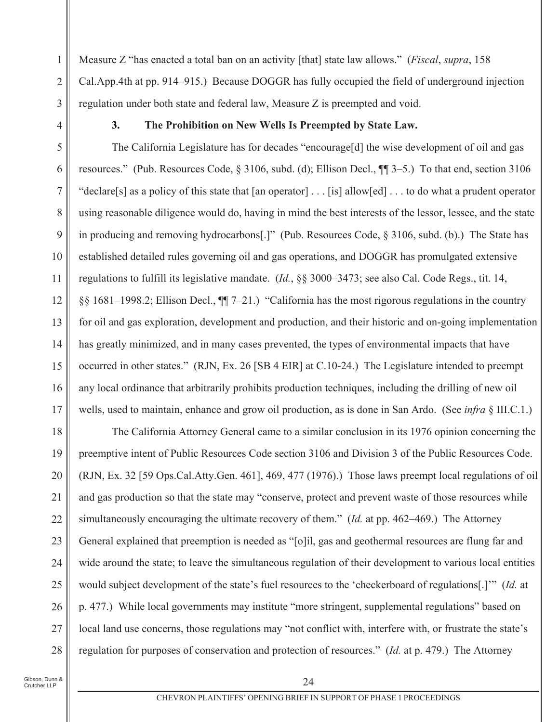Measure Z "has enacted a total ban on an activity [that] state law allows." (Fiscal, supra, 158)  $\mathbf{1}$  $\overline{2}$ Cal.App.4th at pp. 914–915.) Because DOGGR has fully occupied the field of underground injection regulation under both state and federal law, Measure Z is preempted and void. 3

 $\overline{4}$ 

 $3.$ 

#### The Prohibition on New Wells Is Preempted by State Law.

5 The California Legislature has for decades "encourage [d] the wise development of oil and gas resources." (Pub. Resources Code, § 3106, subd. (d); Ellison Decl., ¶[ 3–5.) To that end, section 3106 6 "declare[s] as a policy of this state that [an operator] . . . [is] allow[ed] . . . to do what a prudent operator  $\tau$ 8 using reasonable diligence would do, having in mind the best interests of the lessor, lessee, and the state in producing and removing hydrocarbons[.]" (Pub. Resources Code, § 3106, subd. (b).) The State has 9 10 established detailed rules governing oil and gas operations, and DOGGR has promulgated extensive regulations to fulfill its legislative mandate. (*Id.*, §§ 3000–3473; see also Cal. Code Regs., tit. 14, 11 12 §§ 1681–1998.2; Ellison Decl.,  $\P$ [ $7-21$ .) "California has the most rigorous regulations in the country 13 for oil and gas exploration, development and production, and their historic and on-going implementation has greatly minimized, and in many cases prevented, the types of environmental impacts that have 14 15 occurred in other states." (RJN, Ex. 26 [SB 4 EIR] at C.10-24.) The Legislature intended to preempt any local ordinance that arbitrarily prohibits production techniques, including the drilling of new oil 16 wells, used to maintain, enhance and grow oil production, as is done in San Ardo. (See *infra* § III.C.1.) 17

18 The California Attorney General came to a similar conclusion in its 1976 opinion concerning the 19 preemptive intent of Public Resources Code section 3106 and Division 3 of the Public Resources Code. 20 (RJN, Ex. 32 [59 Ops.Cal.Atty.Gen. 461], 469, 477 (1976).) Those laws preempt local regulations of oil and gas production so that the state may "conserve, protect and prevent waste of those resources while 21 simultaneously encouraging the ultimate recovery of them." *(Id. at pp. 462–469.)* The Attorney 22 23 General explained that preemption is needed as "[o]il, gas and geothermal resources are flung far and wide around the state; to leave the simultaneous regulation of their development to various local entities 24 25 would subject development of the state's fuel resources to the 'checkerboard of regulations[.]" (*Id.* at p. 477.) While local governments may institute "more stringent, supplemental regulations" based on 26 local land use concerns, those regulations may "not conflict with, interfere with, or frustrate the state's 27 regulation for purposes of conservation and protection of resources." (Id. at p. 479.) The Attorney 28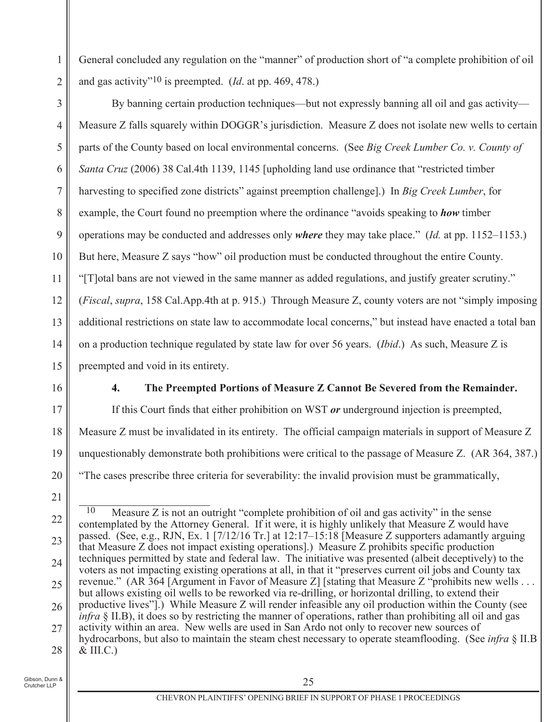General concluded any regulation on the "manner" of production short of "a complete prohibition of oil and gas activity"<sup>10</sup> is preempted. (*Id.* at pp. 469, 478.)

By banning certain production techniques—but not expressly banning all oil and gas activity— 3 Measure Z falls squarely within DOGGR's jurisdiction. Measure Z does not isolate new wells to certain  $\overline{4}$ 5 parts of the County based on local environmental concerns. (See Big Creek Lumber Co. v. County of Santa Cruz (2006) 38 Cal.4th 1139, 1145 [upholding land use ordinance that "restricted timber" 6  $\overline{7}$ harvesting to specified zone districts" against preemption challengel.) In Big Creek Lumber, for 8 example, the Court found no preemption where the ordinance "avoids speaking to *how* timber operations may be conducted and addresses only *where* they may take place." *(Id.* at pp. 1152–1153.) 9 But here, Measure Z says "how" oil production must be conducted throughout the entire County. 10 "[T] otal bans are not viewed in the same manner as added regulations, and justify greater scrutiny." 11 12 (*Fiscal, supra,* 158 Cal.App.4th at p. 915.) Through Measure Z, county voters are not "simply imposing additional restrictions on state law to accommodate local concerns," but instead have enacted a total ban 13 on a production technique regulated by state law for over 56 years. *(Ibid.)* As such, Measure Z is 14 15 preempted and void in its entirety.

16

17

18

19

 $\overline{4}$ .

 $\mathbf{1}$ 

 $\overline{2}$ 

### The Preempted Portions of Measure Z Cannot Be Severed from the Remainder.

If this Court finds that either prohibition on WST  $or$  underground injection is preempted, Measure Z must be invalidated in its entirety. The official campaign materials in support of Measure Z unquestionably demonstrate both prohibitions were critical to the passage of Measure Z. (AR 364, 387.) "The cases prescribe three criteria for severability: the invalid provision must be grammatically,

 $\overline{10}$ Measure Z is not an outright "complete prohibition of oil and gas activity" in the sense 22 contemplated by the Attorney General. If it were, it is highly unlikely that Measure Z would have passed. (See, e.g., RJN, Ex. 1 [7/12/16 Tr.] at 12:17–15:18 [Measure Z supporters adamantly arguing 23 that Measure Z does not impact existing operations. Measure Z prohibits specific production techniques permitted by state and federal law. The initiative was presented (albeit deceptively) to the 24 voters as not impacting existing operations at all, in that it "preserves current oil jobs and County tax revenue." (AR 364 [Argument in Favor of Measure Z] [stating that Measure Z "prohibits new wells ... 25 but allows existing oil wells to be reworked via re-drilling, or horizontal drilling, to extend their productive lives"].) While Measure Z will render infeasible any oil production within the County (see 26 *infra* § II.B), it does so by restricting the manner of operations, rather than prohibiting all oil and gas activity within an area. New wells are used in San Ardo not only to recover new sources of 27 hydrocarbons, but also to maintain the steam chest necessary to operate steamflooding. (See *infra*  $\S$  II.B  $&$  III.C.) 28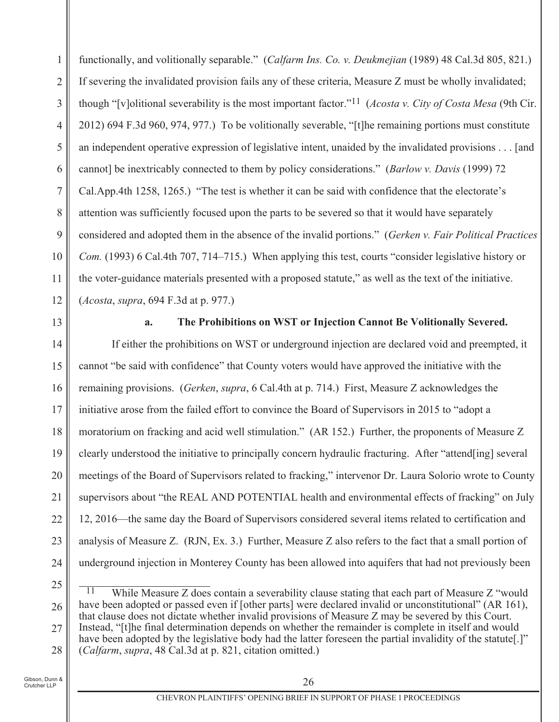functionally, and volitionally separable." (Calfarm Ins. Co. v. Deukmejian (1989) 48 Cal.3d 805, 821.)  $\mathbf{1}$  $\overline{2}$ If severing the invalidated provision fails any of these criteria, Measure Z must be wholly invalidated; though "[v]olitional severability is the most important factor."<sup>11</sup> (*Acosta v. City of Costa Mesa* (9th Cir. 3 2012) 694 F.3d 960, 974, 977.) To be volitionally severable, "[t] the remaining portions must constitute  $\overline{4}$ 5 an independent operative expression of legislative intent, unaided by the invalidated provisions . . . [and cannot] be inextricably connected to them by policy considerations." (Barlow v. Davis (1999) 72 6  $\overline{7}$ Cal.App.4th 1258, 1265.) "The test is whether it can be said with confidence that the electorate's 8 attention was sufficiently focused upon the parts to be severed so that it would have separately considered and adopted them in the absence of the invalid portions." (Gerken v. Fair Political Practices 9 10 Com. (1993) 6 Cal.4th 707, 714–715.) When applying this test, courts "consider legislative history or the voter-guidance materials presented with a proposed stature," as well as the text of the initiative. 11 12  $(A \cos t a, \text{ supra}, 694 \text{ F}.3d \text{ at } p. 977.)$ 

13

#### The Prohibitions on WST or Injection Cannot Be Volitionally Severed.  $\overline{a}$ .

If either the prohibitions on WST or underground injection are declared void and preempted, it 14 15 cannot "be said with confidence" that County voters would have approved the initiative with the remaining provisions. *(Gerken, supra, 6 Cal.4th at p. 714.)* First, Measure Z acknowledges the 16 initiative arose from the failed effort to convince the Board of Supervisors in 2015 to "adopt a 17 moratorium on fracking and acid well stimulation." (AR 152.) Further, the proponents of Measure Z 18 19 clearly understood the initiative to principally concern hydraulic fracturing. After "attend [ing] several 20 meetings of the Board of Supervisors related to fracking," intervenor Dr. Laura Solorio wrote to County supervisors about "the REAL AND POTENTIAL health and environmental effects of fracking" on July 21 12, 2016—the same day the Board of Supervisors considered several items related to certification and 22 23 analysis of Measure Z. (RJN, Ex. 3.) Further, Measure Z also refers to the fact that a small portion of underground injection in Monterey County has been allowed into aquifers that had not previously been 24

 $\overline{11}$ While Measure Z does contain a severability clause stating that each part of Measure Z "would have been adopted or passed even if [other parts] were declared invalid or unconstitutional" (AR 161), 26 that clause does not dictate whether invalid provisions of Measure Z may be severed by this Court. Instead, "[t]he final determination depends on whether the remainder is complete in itself and would 27 have been adopted by the legislative body had the latter foreseen the partial invalidity of the statute.]" (Calfarm, supra, 48 Cal.3d at p. 821, citation omitted.) 28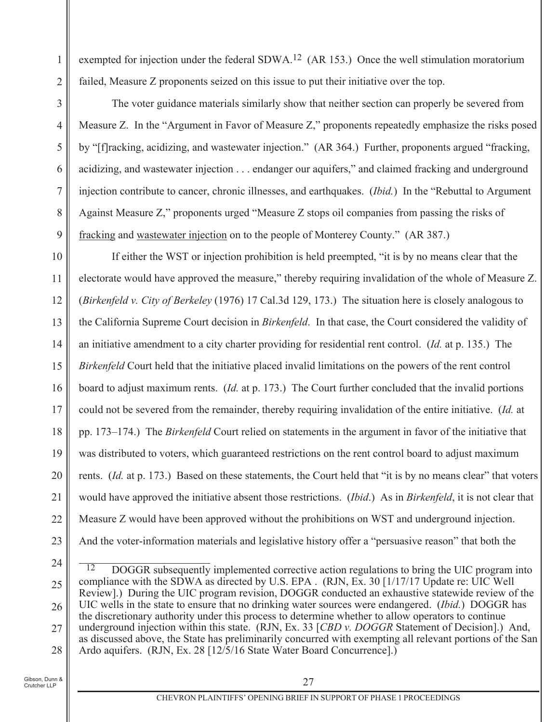exempted for injection under the federal SDWA.<sup>12</sup> (AR 153.) Once the well stimulation moratorium failed, Measure Z proponents seized on this issue to put their initiative over the top.

The voter guidance materials similarly show that neither section can properly be severed from Measure Z. In the "Argument in Favor of Measure Z," proponents repeatedly emphasize the risks posed by "[f] racking, acidizing, and wastewater injection." (AR 364.) Further, proponents argued "fracking, acidizing, and wastewater injection . . . endanger our aquifers," and claimed fracking and underground injection contribute to cancer, chronic illnesses, and earthquakes. (*Ibid.*) In the "Rebuttal to Argument" Against Measure Z," proponents urged "Measure Z stops oil companies from passing the risks of fracking and wastewater injection on to the people of Monterey County." (AR 387.)

10 If either the WST or injection prohibition is held preempted, "it is by no means clear that the electorate would have approved the measure," thereby requiring invalidation of the whole of Measure Z. 11 12 (Birkenfeld v. City of Berkeley (1976) 17 Cal.3d 129, 173.) The situation here is closely analogous to the California Supreme Court decision in *Birkenfeld*. In that case, the Court considered the validity of 13 an initiative amendment to a city charter providing for residential rent control. *(Id.* at p. 135.) The 14 15 Birkenfeld Court held that the initiative placed invalid limitations on the powers of the rent control board to adjust maximum rents. (*Id.* at p. 173.) The Court further concluded that the invalid portions 16 could not be severed from the remainder, thereby requiring invalidation of the entire initiative. (Id. at 17 pp. 173–174.) The *Birkenfeld* Court relied on statements in the argument in favor of the initiative that 18 19 was distributed to voters, which guaranteed restrictions on the rent control board to adjust maximum 20 rents. (Id. at p. 173.) Based on these statements, the Court held that "it is by no means clear" that voters would have approved the initiative absent those restrictions. *(Ibid.)* As in *Birkenfeld*, it is not clear that 21 Measure Z would have been approved without the prohibitions on WST and underground injection. 22 23 And the voter-information materials and legislative history offer a "persuasive reason" that both the

24

1

 $\overline{2}$ 

3

 $\overline{4}$ 

5

6

 $\overline{7}$ 

8

<sup>12</sup> DOGGR subsequently implemented corrective action regulations to bring the UIC program into compliance with the SDWA as directed by U.S. EPA. (RJN, Ex. 30 [1/17/17 Update re: UIC Well 25 Review].) During the UIC program revision, DOGGR conducted an exhaustive statewide review of the UIC wells in the state to ensure that no drinking water sources were endangered. *(Ibid.)* DOGGR has 26 the discretionary authority under this process to determine whether to allow operators to continue underground injection within this state. (RJN, Ex. 33 [CBD v. DOGGR Statement of Decision].) And, 27 as discussed above, the State has preliminarily concurred with exempting all relevant portions of the San Ardo aquifers. (RJN, Ex. 28 [12/5/16 State Water Board Concurrence].) 28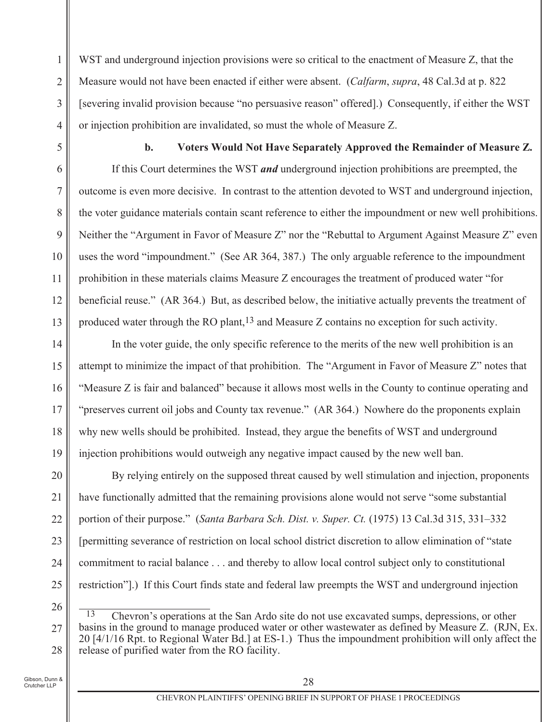WST and underground injection provisions were so critical to the enactment of Measure Z, that the  $\mathbf{1}$  $\overline{2}$ Measure would not have been enacted if either were absent. (Calfarm, supra, 48 Cal.3d at p. 822) [severing invalid provision because "no persuasive reason" offered].) Consequently, if either the WST 3 or injection prohibition are invalidated, so must the whole of Measure Z.  $\overline{4}$ 

5

11

 $\mathbf{b}$ . Voters Would Not Have Separately Approved the Remainder of Measure Z.

If this Court determines the WST and underground injection prohibitions are preempted, the 6  $\tau$ outcome is even more decisive. In contrast to the attention devoted to WST and underground injection, 8 the voter guidance materials contain scant reference to either the impoundment or new well prohibitions. 9 Neither the "Argument in Favor of Measure Z" nor the "Rebuttal to Argument Against Measure Z" even 10 uses the word "impoundment." (See AR 364, 387.) The only arguable reference to the impoundment prohibition in these materials claims Measure Z encourages the treatment of produced water "for 12 beneficial reuse." (AR 364.) But, as described below, the initiative actually prevents the treatment of 13 produced water through the RO plant,  $13$  and Measure Z contains no exception for such activity.

In the voter guide, the only specific reference to the merits of the new well prohibition is an 14 15 attempt to minimize the impact of that prohibition. The "Argument in Favor of Measure Z" notes that "Measure Z is fair and balanced" because it allows most wells in the County to continue operating and 16 "preserves current oil jobs and County tax revenue." (AR 364.) Nowhere do the proponents explain 17 18 why new wells should be prohibited. Instead, they argue the benefits of WST and underground 19 injection prohibitions would outweigh any negative impact caused by the new well ban.

20 By relying entirely on the supposed threat caused by well stimulation and injection, proponents have functionally admitted that the remaining provisions alone would not serve "some substantial 21 portion of their purpose." (Santa Barbara Sch. Dist. v. Super. Ct. (1975) 13 Cal.3d 315, 331–332 22 23 [permitting severance of restriction on local school district discretion to allow elimination of "state" commitment to racial balance . . . and thereby to allow local control subject only to constitutional 24 25 restriction"]. If this Court finds state and federal law preempts the WST and underground injection

<sup>13</sup> Chevron's operations at the San Ardo site do not use excavated sumps, depressions, or other basins in the ground to manage produced water or other wastewater as defined by Measure Z. (RJN, Ex. 27 20 [4/1/16 Rpt. to Regional Water Bd.] at ES-1.) Thus the impoundment prohibition will only affect the release of purified water from the RO facility. 28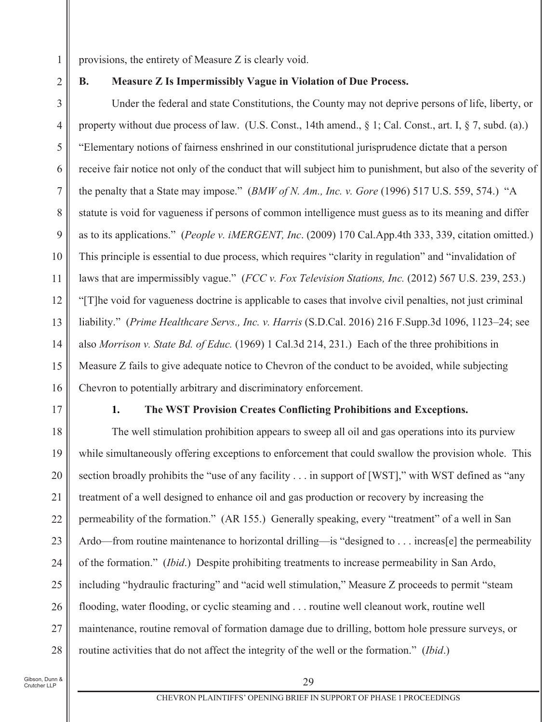provisions, the entirety of Measure Z is clearly void.

 $\overline{2}$ 

**B.** 

1

### Measure Z Is Impermissibly Vague in Violation of Due Process.

Under the federal and state Constitutions, the County may not deprive persons of life, liberty, or 3 property without due process of law. (U.S. Const., 14th amend.,  $\S$  1; Cal. Const., art. I,  $\S$  7, subd. (a).)  $\overline{4}$ 5 "Elementary notions of fairness enshrined in our constitutional jurisprudence dictate that a person receive fair notice not only of the conduct that will subject him to punishment, but also of the severity of 6 the penalty that a State may impose." (BMW of N. Am., Inc. v. Gore (1996) 517 U.S. 559, 574.) "A  $\tau$ 8 statute is void for vagueness if persons of common intelligence must guess as to its meaning and differ as to its applications." (People v. iMERGENT, Inc. (2009) 170 Cal.App.4th 333, 339, citation omitted.) 9 This principle is essential to due process, which requires "clarity in regulation" and "invalidation of 10 laws that are impermissibly vague." (FCC v. Fox Television Stations, Inc. (2012) 567 U.S. 239, 253.) 11 12 "[T] he void for vagueness doctrine is applicable to cases that involve civil penalties, not just criminal 13 liability." (Prime Healthcare Servs., Inc. v. Harris (S.D.Cal. 2016) 216 F.Supp.3d 1096, 1123–24; see also Morrison v. State Bd. of Educ. (1969) 1 Cal.3d 214, 231.) Each of the three prohibitions in 14 15 Measure Z fails to give adequate notice to Chevron of the conduct to be avoided, while subjecting Chevron to potentially arbitrary and discriminatory enforcement. 16

17

1.

### The WST Provision Creates Conflicting Prohibitions and Exceptions.

The well stimulation prohibition appears to sweep all oil and gas operations into its purview 18 19 while simultaneously offering exceptions to enforcement that could swallow the provision whole. This 20 section broadly prohibits the "use of any facility . . . in support of [WST]," with WST defined as "any treatment of a well designed to enhance oil and gas production or recovery by increasing the 21 permeability of the formation." (AR 155.) Generally speaking, every "treatment" of a well in San 22 23 Ardo—from routine maintenance to horizontal drilling—is "designed to . . . increas[e] the permeability of the formation." *(Ibid.)* Despite prohibiting treatments to increase permeability in San Ardo, 24 25 including "hydraulic fracturing" and "acid well stimulation," Measure Z proceeds to permit "steam" flooding, water flooding, or cyclic steaming and ... routine well cleanout work, routine well 26 maintenance, routine removal of formation damage due to drilling, bottom hole pressure surveys, or 27 routine activities that do not affect the integrity of the well or the formation." (Ibid.) 28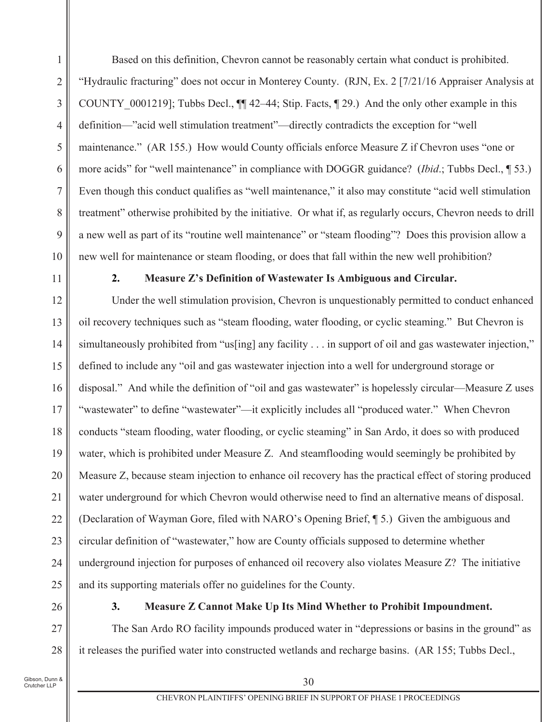Based on this definition, Chevron cannot be reasonably certain what conduct is prohibited.  $\mathbf{1}$  $\overline{2}$ "Hydraulic fracturing" does not occur in Monterey County. (RJN, Ex. 2 [7/21/16 Appraiser Analysis at COUNTY 0001219]; Tubbs Decl.,  $\P$  42–44; Stip. Facts,  $\P$  29.) And the only other example in this 3 definition—"acid well stimulation treatment"—directly contradicts the exception for "well  $\overline{4}$ 5 maintenance." (AR 155.) How would County officials enforce Measure Z if Chevron uses "one or more acids" for "well maintenance" in compliance with DOGGR guidance? (*Ibid*.; Tubbs Decl., 1 53.) 6 Even though this conduct qualifies as "well maintenance," it also may constitute "acid well stimulation"  $\overline{7}$ 8 treatment" otherwise prohibited by the initiative. Or what if, as regularly occurs, Chevron needs to drill a new well as part of its "routine well maintenance" or "steam flooding"? Does this provision allow a 9 10 new well for maintenance or steam flooding, or does that fall within the new well prohibition?

11

 $2.$ 

### Measure Z's Definition of Wastewater Is Ambiguous and Circular.

12 Under the well stimulation provision, Chevron is unquestionably permitted to conduct enhanced oil recovery techniques such as "steam flooding, water flooding, or cyclic steaming." But Chevron is 13 simultaneously prohibited from "us[ing] any facility . . . in support of oil and gas wastewater injection," 14 15 defined to include any "oil and gas wastewater injection into a well for underground storage or disposal." And while the definition of "oil and gas wastewater" is hopelessly circular—Measure Z uses 16 "wastewater" to define "wastewater"—it explicitly includes all "produced water." When Chevron 17 18 conducts "steam flooding, water flooding, or cyclic steaming" in San Ardo, it does so with produced 19 water, which is prohibited under Measure Z. And steamflooding would seemingly be prohibited by 20 Measure Z, because steam injection to enhance oil recovery has the practical effect of storing produced water underground for which Chevron would otherwise need to find an alternative means of disposal. 21 (Declaration of Wayman Gore, filed with NARO's Opening Brief, 15.) Given the ambiguous and 22 23 circular definition of "wastewater," how are County officials supposed to determine whether underground injection for purposes of enhanced oil recovery also violates Measure Z? The initiative 24 25 and its supporting materials offer no guidelines for the County.

26

27

28

 $3.$ 

### Measure Z Cannot Make Up Its Mind Whether to Prohibit Impoundment.

The San Ardo RO facility impounds produced water in "depressions or basins in the ground" as it releases the purified water into constructed wetlands and recharge basins. (AR 155; Tubbs Decl.,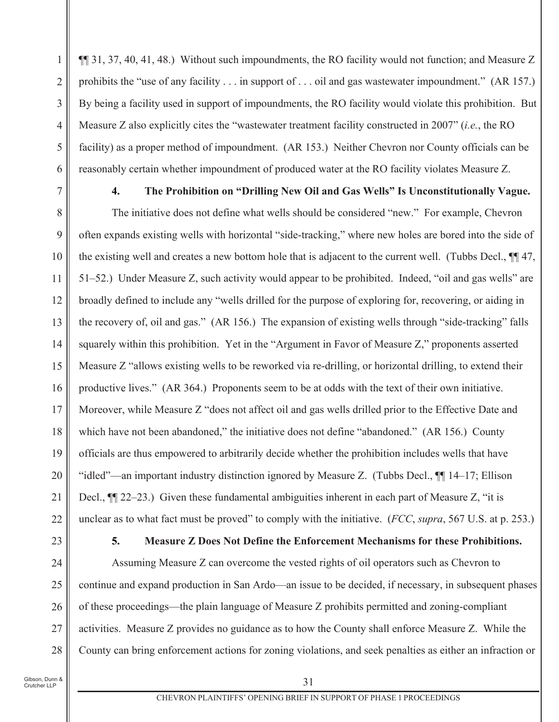$\P$  31, 37, 40, 41, 48.) Without such impoundments, the RO facility would not function; and Measure Z  $\mathbf{1}$  $\overline{2}$ prohibits the "use of any facility ... in support of ... oil and gas was tewater impoundment." (AR 157.) By being a facility used in support of impoundments, the RO facility would violate this prohibition. But 3 Measure Z also explicitly cites the "wastewater treatment facility constructed in 2007" (i.e., the RO  $\overline{4}$ 5 facility) as a proper method of impoundment. (AR 153.) Neither Chevron nor County officials can be reasonably certain whether impoundment of produced water at the RO facility violates Measure Z. 6

 $\overline{4}$ .

 $\tau$ 

#### The Prohibition on "Drilling New Oil and Gas Wells" Is Unconstitutionally Vague.

The initiative does not define what wells should be considered "new." For example, Chevron 8 often expands existing wells with horizontal "side-tracking," where new holes are bored into the side of 9 the existing well and creates a new bottom hole that is adjacent to the current well. (Tubbs Decl.,  $\P$  47, 10 51–52.) Under Measure Z, such activity would appear to be prohibited. Indeed, "oil and gas wells" are 11 12 broadly defined to include any "wells drilled for the purpose of exploring for, recovering, or aiding in the recovery of, oil and gas." (AR 156.) The expansion of existing wells through "side-tracking" falls 13 squarely within this prohibition. Yet in the "Argument in Favor of Measure Z," proponents asserted 14 15 Measure Z "allows existing wells to be reworked via re-drilling, or horizontal drilling, to extend their productive lives." (AR 364.) Proponents seem to be at odds with the text of their own initiative. 16 Moreover, while Measure Z "does not affect oil and gas wells drilled prior to the Effective Date and 17 which have not been abandoned," the initiative does not define "abandoned." (AR 156.) County 18 19 officials are thus empowered to arbitrarily decide whether the prohibition includes wells that have 20 "idled"—an important industry distinction ignored by Measure Z. (Tubbs Decl., ¶ 14–17; Ellison Decl.,  $\P$ [22–23.) Given these fundamental ambiguities inherent in each part of Measure Z, "it is 21 unclear as to what fact must be proved" to comply with the initiative. (FCC, supra, 567 U.S. at p. 253.) 22

23

#### $5.$ Measure Z Does Not Define the Enforcement Mechanisms for these Prohibitions.

Assuming Measure Z can overcome the vested rights of oil operators such as Chevron to 24 25 continue and expand production in San Ardo—an issue to be decided, if necessary, in subsequent phases of these proceedings—the plain language of Measure Z prohibits permitted and zoning-compliant 26 activities. Measure Z provides no guidance as to how the County shall enforce Measure Z. While the 27 County can bring enforcement actions for zoning violations, and seek penalties as either an infraction or 28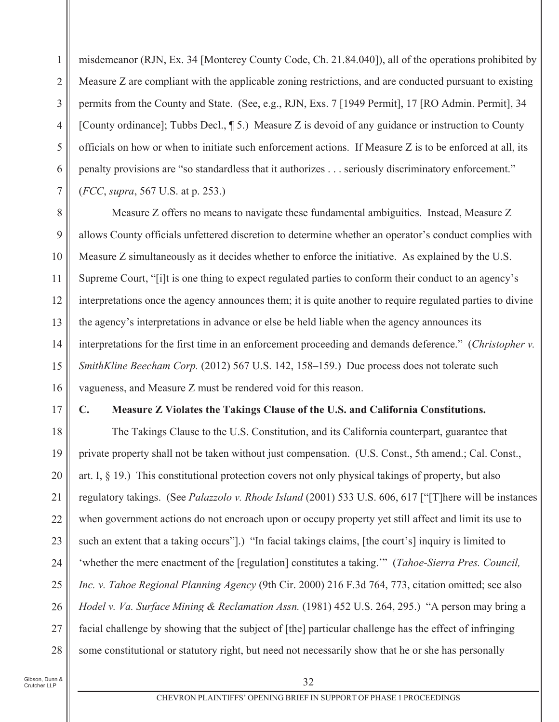misdemeanor (RJN, Ex. 34 [Monterey County Code, Ch. 21.84.040]), all of the operations prohibited by 1  $\overline{2}$ Measure Z are compliant with the applicable zoning restrictions, and are conducted pursuant to existing permits from the County and State. (See, e.g., RJN, Exs. 7 [1949 Permit], 17 [RO Admin. Permit], 34 3 [County ordinance]; Tubbs Decl.,  $\P$  5.) Measure Z is devoid of any guidance or instruction to County  $\overline{4}$ 5 officials on how or when to initiate such enforcement actions. If Measure  $Z$  is to be enforced at all, its penalty provisions are "so standardless that it authorizes . . . seriously discriminatory enforcement." 6  $\tau$ (*FCC*, *supra*, 567 U.S. at p. 253.)

8 Measure Z offers no means to navigate these fundamental ambiguities. Instead, Measure Z 9 allows County officials unfettered discretion to determine whether an operator's conduct complies with Measure Z simultaneously as it decides whether to enforce the initiative. As explained by the U.S. 10 Supreme Court, "[i]t is one thing to expect regulated parties to conform their conduct to an agency's 11 12 interpretations once the agency announces them; it is quite another to require regulated parties to divine the agency's interpretations in advance or else be held liable when the agency announces its 13 interpretations for the first time in an enforcement proceeding and demands deference." (Christopher v. 14 15 SmithKline Beecham Corp. (2012) 567 U.S. 142, 158-159.) Due process does not tolerate such vagueness, and Measure Z must be rendered void for this reason. 16

### 17

 $\mathbf{C}$ .

#### Measure Z Violates the Takings Clause of the U.S. and California Constitutions.

18 The Takings Clause to the U.S. Constitution, and its California counterpart, guarantee that 19 private property shall not be taken without just compensation. (U.S. Const., 5th amend.; Cal. Const., 20 art. I,  $\S$  19.) This constitutional protection covers not only physical takings of property, but also regulatory takings. (See Palazzolo v. Rhode Island (2001) 533 U.S. 606, 617 ["T] here will be instances 21 when government actions do not encroach upon or occupy property yet still affect and limit its use to 22 23 such an extent that a taking occurs"].) "In facial takings claims, [the court's] inquiry is limited to 'whether the mere enactment of the [regulation] constitutes a taking." (Tahoe-Sierra Pres. Council. 24 25 Inc. v. Tahoe Regional Planning Agency (9th Cir. 2000) 216 F.3d 764, 773, citation omitted; see also Hodel v. Va. Surface Mining & Reclamation Assn. (1981) 452 U.S. 264, 295.) "A person may bring a 26 facial challenge by showing that the subject of [the] particular challenge has the effect of infringing 27 some constitutional or statutory right, but need not necessarily show that he or she has personally 28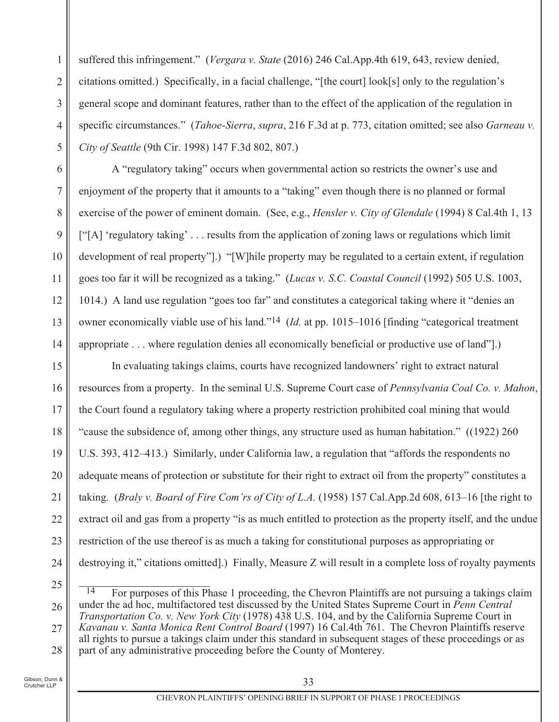1  $\overline{2}$ 3  $\overline{4}$ 5 suffered this infringement." (Vergara v. State (2016) 246 Cal.App.4th 619, 643, review denied, citations omitted.) Specifically, in a facial challenge, "[the court]  $look[s]$  only to the regulation's general scope and dominant features, rather than to the effect of the application of the regulation in specific circumstances." (*Tahoe-Sierra*, *supra*, 216 F.3d at p. 773, citation omitted; see also *Garneau v. City of Seattle* (9th Cir. 1998) 147 F.3d 802, 807.)

A "regulatory taking" occurs when governmental action so restricts the owner's use and enjoyment of the property that it amounts to a "taking" even though there is no planned or formal exercise of the power of eminent domain. (See, e.g., *Hensler v. City of Glendale* (1994) 8 Cal.4th 1, 13  $[$ "[A] 'regulatory taking' ... results from the application of zoning laws or regulations which limit development of real property".). "[W]hile property may be regulated to a certain extent, if regulation goes too far it will be recognized as a taking." (*Lucas v. S.C. Coastal Council* (1992) 505 U.S. 1003, 1014.) A land use regulation "goes too far" and constitutes a categorical taking where it "denies an owner economically viable use of his land."<sup>14</sup> (*Id.* at pp. 1015–1016 [finding "categorical treatment appropriate  $\ldots$  where regulation denies all economically beneficial or productive use of land".)

15 16 17 18 19 20 21 22 23 24 In evaluating takings claims, courts have recognized landowners' right to extract natural resources from a property. In the seminal U.S. Supreme Court case of *Pennsylvania Coal Co. v. Mahon*, the Court found a regulatory taking where a property restriction prohibited coal mining that would "cause the subsidence of, among other things, any structure used as human habitation."  $(1922)$  260 U.S.  $393, 412-413$ .) Similarly, under California law, a regulation that "affords the respondents no adequate means of protection or substitute for their right to extract oil from the property" constitutes a taking. (*Braly v. Board of Fire Com'rs of City of L.A.* (1958) 157 Cal. App. 2d 608, 613–16 [the right to extract oil and gas from a property "is as much entitled to protection as the property itself, and the undue restriction of the use thereof is as much a taking for constitutional purposes as appropriating or destroying it," citations omitted].) Finally, Measure Z will result in a complete loss of royalty payments

25

,我们也不会有什么?""我们的话,我们也不会有什么?""我们的话,我们也不会有什么?""我们的话,我们也不会有什么?""我们的话,我们也不会有什么?""我们的话

6

 $\tau$ 

8

9

10

11

12

13

<sup>26</sup> 27 28 For purposes of this Phase 1 proceeding, the Chevron Plaintiffs are not pursuing a takings claim under the ad hoc, multifactored test discussed by the United States Supreme Court in *Penn Central Transportation Co. v. New York City* (1978) 438 U.S. 104, and by the California Supreme Court in *Kavanau v. Santa Monica Rent Control Board* (1997) 16 Cal.4th 761. The Chevron Plaintiffs reserve all rights to pursue a takings claim under this standard in subsequent stages of these proceedings or as part of any administrative proceeding before the County of Monterey.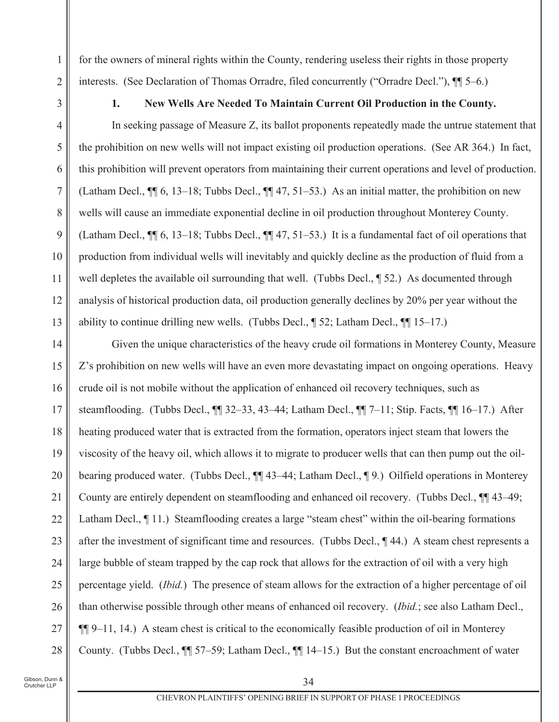for the owners of mineral rights within the County, rendering useless their rights in those property interests. (See Declaration of Thomas Orradre, filed concurrently ("Orradre Decl."),  $\P$ [5–6.)

1.

 $\mathbf{1}$ 

 $\overline{2}$ 

3

 $\overline{4}$ 

5

6

7

8

9

10

11

12

13

## New Wells Are Needed To Maintain Current Oil Production in the County.

In seeking passage of Measure Z, its ballot proponents repeatedly made the untrue statement that the prohibition on new wells will not impact existing oil production operations. (See AR 364.) In fact, this prohibition will prevent operators from maintaining their current operations and level of production. (Latham Decl.,  $\P$  6, 13–18; Tubbs Decl.,  $\P$  47, 51–53.) As an initial matter, the prohibition on new wells will cause an immediate exponential decline in oil production throughout Monterey County. (Latham Decl.,  $\P$  6, 13–18; Tubbs Decl.,  $\P$  47, 51–53.) It is a fundamental fact of oil operations that production from individual wells will inevitably and quickly decline as the production of fluid from a well depletes the available oil surrounding that well. (Tubbs Decl., 152.) As documented through analysis of historical production data, oil production generally declines by 20% per year without the ability to continue drilling new wells. (Tubbs Decl.,  $\sqrt{2}$  52; Latham Decl.,  $\sqrt{2}$  15–17.)

Given the unique characteristics of the heavy crude oil formations in Monterey County, Measure 14 15 Z's prohibition on new wells will have an even more devastating impact on ongoing operations. Heavy crude oil is not mobile without the application of enhanced oil recovery techniques, such as 16 steamflooding. (Tubbs Decl., 11 32-33, 43-44; Latham Decl., 11 7-11; Stip. Facts, 11 16-17.) After 17 heating produced water that is extracted from the formation, operators inject steam that lowers the 18 viscosity of the heavy oil, which allows it to migrate to producer wells that can then pump out the oil-19 20 bearing produced water. (Tubbs Decl., ¶¶ 43–44; Latham Decl., ¶ 9.) Oilfield operations in Monterey County are entirely dependent on steamflooding and enhanced oil recovery. (Tubbs Decl.,  $\P$  43–49; 21 Latham Decl., 11.) Steamflooding creates a large "steam chest" within the oil-bearing formations 22 after the investment of significant time and resources. (Tubbs Decl., 144.) A steam chest represents a 23 large bubble of steam trapped by the cap rock that allows for the extraction of oil with a very high 24 percentage yield. (*Ibid.*) The presence of steam allows for the extraction of a higher percentage of oil 25 than otherwise possible through other means of enhanced oil recovery. (Ibid.; see also Latham Decl., 26  $\P\P$ 9–11, 14.) A steam chest is critical to the economically feasible production of oil in Monterey 27 County. (Tubbs Decl., ¶ 57–59; Latham Decl., ¶ 14–15.) But the constant encroachment of water 28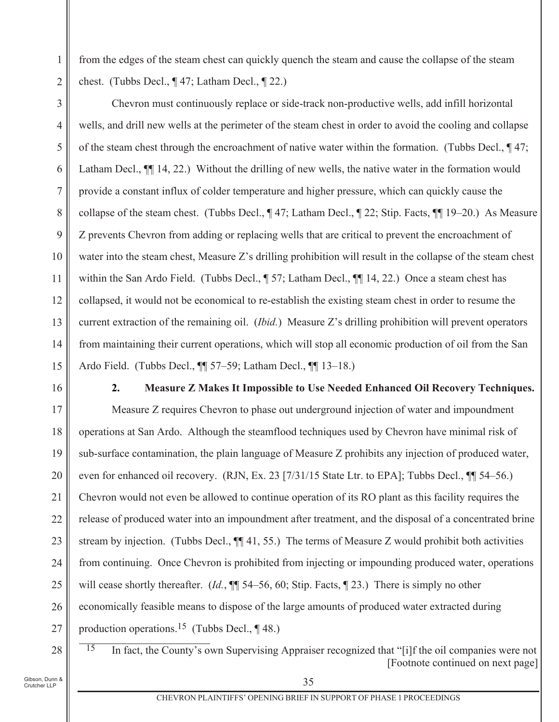from the edges of the steam chest can quickly quench the steam and cause the collapse of the steam chest. (Tubbs Decl.,  $\P$  47; Latham Decl.,  $\P$  22.)

Chevron must continuously replace or side-track non-productive wells, add infill horizontal 3 wells, and drill new wells at the perimeter of the steam chest in order to avoid the cooling and collapse  $\overline{4}$ 5 of the steam chest through the encroachment of native water within the formation. (Tubbs Decl.,  $\P$ 47; Latham Decl.,  $\P$  14, 22.) Without the drilling of new wells, the native water in the formation would 6 provide a constant influx of colder temperature and higher pressure, which can quickly cause the 7 collapse of the steam chest. (Tubbs Decl., ¶47; Latham Decl., ¶22; Stip. Facts, ¶[19–20.) As Measure 8 Z prevents Chevron from adding or replacing wells that are critical to prevent the encroachment of 9 10 water into the steam chest, Measure Z's drilling prohibition will result in the collapse of the steam chest within the San Ardo Field. (Tubbs Decl., 157; Latham Decl., 11 14, 22.) Once a steam chest has 11 12 collapsed, it would not be economical to re-establish the existing steam chest in order to resume the current extraction of the remaining oil. *(Ibid.)* Measure Z's drilling prohibition will prevent operators 13 from maintaining their current operations, which will stop all economic production of oil from the San 14 15 Ardo Field. (Tubbs Decl., ¶ 57–59; Latham Decl., ¶ 13–18.)

16

1

 $\overline{2}$ 

 $2.$ **Measure Z Makes It Impossible to Use Needed Enhanced Oil Recovery Techniques.** 

Measure Z requires Chevron to phase out underground injection of water and impoundment 17 operations at San Ardo. Although the steamflood techniques used by Chevron have minimal risk of 18 19 sub-surface contamination, the plain language of Measure Z prohibits any injection of produced water, 20 even for enhanced oil recovery. (RJN, Ex. 23 [7/31/15 State Ltr. to EPA]; Tubbs Decl., [1] 54–56.) Chevron would not even be allowed to continue operation of its RO plant as this facility requires the 21 release of produced water into an impoundment after treatment, and the disposal of a concentrated brine 22 stream by injection. (Tubbs Decl.,  $\P$  41, 55.) The terms of Measure Z would prohibit both activities 23 from continuing. Once Chevron is prohibited from injecting or impounding produced water, operations 24 25 will cease shortly thereafter. (*Id.*,  $\P$  54–56, 60; Stip. Facts,  $\P$  23.) There is simply no other economically feasible means to dispose of the large amounts of produced water extracted during 26 production operations.<sup>15</sup> (Tubbs Decl.,  $\P$  48.) 27

28

In fact, the County's own Supervising Appraiser recognized that "[i]f the oil companies were not  $\overline{15}$ [Footnote continued on next page]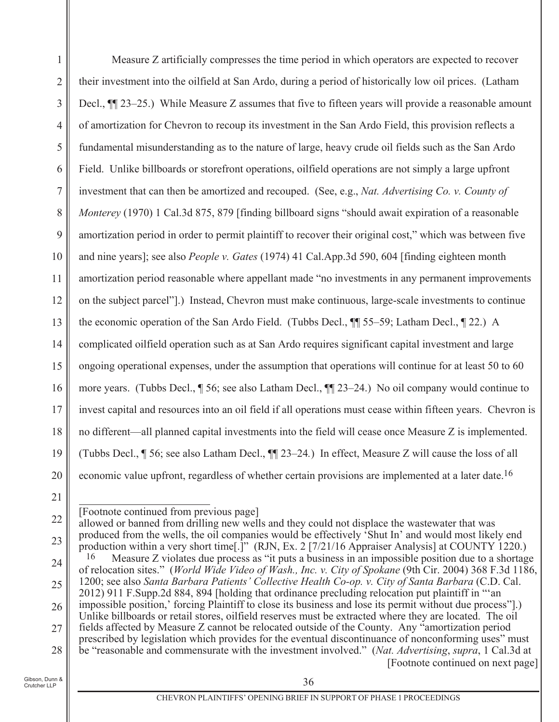Measure Z artificially compresses the time period in which operators are expected to recover  $\mathbf{1}$  $\overline{2}$ their investment into the oilfield at San Ardo, during a period of historically low oil prices. (Latham Decl.,  $\P$ [23–25.) While Measure Z assumes that five to fifteen years will provide a reasonable amount 3 of amortization for Chevron to recoup its investment in the San Ardo Field, this provision reflects a  $\overline{4}$ 5 fundamental misunderstanding as to the nature of large, heavy crude oil fields such as the San Ardo 6 Field. Unlike billboards or storefront operations, oilfield operations are not simply a large upfront  $\overline{7}$ investment that can then be amortized and recouped. (See, e.g., Nat. Advertising Co. v. County of 8 *Monterey* (1970) 1 Cal.3d 875, 879 [finding billboard signs "should await expiration of a reasonable amortization period in order to permit plaintiff to recover their original cost," which was between five 9 10 and nine years]; see also *People v. Gates* (1974) 41 Cal.App.3d 590, 604 [finding eighteen month amortization period reasonable where appellant made "no investments in any permanent improvements 11 on the subject parcel"].) Instead, Chevron must make continuous, large-scale investments to continue 12 the economic operation of the San Ardo Field. (Tubbs Decl.,  $\P$  55–59; Latham Decl.,  $\P$  22.) A 13 complicated oilfield operation such as at San Ardo requires significant capital investment and large 14 15 ongoing operational expenses, under the assumption that operations will continue for at least 50 to 60 more years. (Tubbs Decl., ¶ 56; see also Latham Decl., ¶ 23–24.) No oil company would continue to 16 17 invest capital and resources into an oil field if all operations must cease within fifteen years. Chevron is no different—all planned capital investments into the field will cease once Measure Z is implemented. 18 (Tubbs Decl., ¶ 56; see also Latham Decl., ¶¶ 23–24.) In effect, Measure Z will cause the loss of all 19 20 economic value upfront, regardless of whether certain provisions are implemented at a later date.<sup>16</sup>

21

22 allowed or banned from drilling new wells and they could not displace the was tewater that was produced from the wells, the oil companies would be effectively 'Shut In' and would most likely end 23 production within a very short time[.]" (RJN, Ex. 2 [7/21/16 Appraiser Analysis] at COUNTY 1220.) 16 Measure Z violates due process as "it puts a business in an impossible position due to a shortage 24 of relocation sites." (World Wide Video of Wash., Inc. v. City of Spokane (9th Cir. 2004) 368 F.3d 1186, 1200; see also Santa Barbara Patients' Collective Health Co-op. v. City of Santa Barbara (C.D. Cal. 25 2012) 911 F.Supp.2d 884, 894 [holding that ordinance precluding relocation put plaintiff in "an impossible position,' forcing Plaintiff to close its business and lose its permit without due process". 26 Unlike billboards or retail stores, oilfield reserves must be extracted where they are located. The oil fields affected by Measure Z cannot be relocated outside of the County. Any "amortization period 27 prescribed by legislation which provides for the eventual discontinuance of nonconforming uses" must be "reasonable and commensurate with the investment involved." (Nat. Advertising, supra, 1 Cal.3d at 28 [Footnote continued on next page]

<sup>[</sup>Footnote continued from previous page]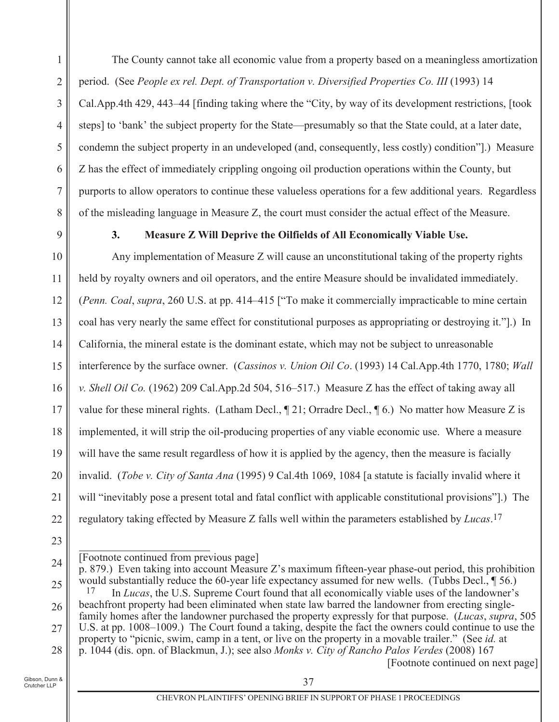The County cannot take all economic value from a property based on a meaningless amortization  $\mathbf{1}$  $\overline{2}$ period. (See People ex rel. Dept. of Transportation v. Diversified Properties Co. III (1993) 14 Cal.App.4th 429, 443–44 [finding taking where the "City, by way of its development restrictions, [took] 3 steps] to 'bank' the subject property for the State—presumably so that the State could, at a later date,  $\overline{4}$ 5 condemn the subject property in an undeveloped (and, consequently, less costly) condition".) Measure Z has the effect of immediately crippling ongoing oil production operations within the County, but 6  $\tau$ purports to allow operators to continue these valueless operations for a few additional years. Regardless 8 of the misleading language in Measure Z, the court must consider the actual effect of the Measure.

9

 $3.$ 

## Measure Z Will Deprive the Oilfields of All Economically Viable Use.

10 Any implementation of Measure Z will cause an unconstitutional taking of the property rights held by royalty owners and oil operators, and the entire Measure should be invalidated immediately. 11 12 (Penn. Coal, supra, 260 U.S. at pp. 414–415 ["To make it commercially impracticable to mine certain coal has very nearly the same effect for constitutional purposes as appropriating or destroying it.".) In 13 California, the mineral estate is the dominant estate, which may not be subject to unreasonable 14 15 interference by the surface owner. (Cassinos v. Union Oil Co. (1993) 14 Cal.App.4th 1770, 1780; Wall v. Shell Oil Co. (1962) 209 Cal. App. 2d 504, 516–517.) Measure Z has the effect of taking away all 16 value for these mineral rights. (Latham Decl.,  $\P$  21; Orradre Decl.,  $\P$  6.) No matter how Measure Z is 17 implemented, it will strip the oil-producing properties of any viable economic use. Where a measure 18 19 will have the same result regardless of how it is applied by the agency, then the measure is facially 20 invalid. (Tobe v. City of Santa Ana (1995) 9 Cal.4th 1069, 1084 [a statute is facially invalid where it will "inevitably pose a present total and fatal conflict with applicable constitutional provisions".) The 21 regulatory taking effected by Measure Z falls well within the parameters established by Lucas.<sup>17</sup> 22

<sup>[</sup>Footnote continued from previous page]

<sup>24</sup> p. 879.) Even taking into account Measure Z's maximum fifteen-year phase-out period, this prohibition would substantially reduce the 60-year life expectancy assumed for new wells. (Tubbs Decl.,  $\P$  56.) 25

<sup>17</sup> In Lucas, the U.S. Supreme Court found that all economically viable uses of the landowner's beachfront property had been eliminated when state law barred the landowner from erecting single-26 family homes after the landowner purchased the property expressly for that purpose. *(Lucas, supra,* 505) U.S. at pp. 1008–1009.) The Court found a taking, despite the fact the owners could continue to use the 27

property to "picnic, swim, camp in a tent, or live on the property in a movable trailer." (See id. at p. 1044 (dis. opn. of Blackmun, J.); see also Monks v. City of Rancho Palos Verdes (2008) 167 28

<sup>[</sup>Footnote continued on next page]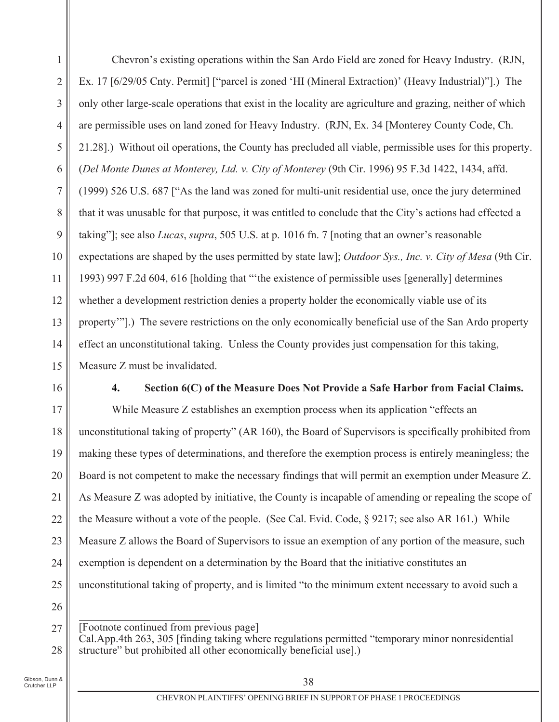$\mathbf{1}$  $\overline{2}$ 3  $\overline{4}$ 5 6  $\tau$ 8 9 10 11 12 13 14 15 Chevron's existing operations within the San Ardo Field are zoned for Heavy Industry. (RJN, Ex. 17 [6/29/05 Cnty. Permit] ["parcel is zoned 'HI (Mineral Extraction)' (Heavy Industrial)"].) The only other large-scale operations that exist in the locality are agriculture and grazing, neither of which are permissible uses on land zoned for Heavy Industry. (RJN, Ex. 34 [Monterey County Code, Ch. 21.28].) Without oil operations, the County has precluded all viable, permissible uses for this property. *(Del Monte Dunes at Monterey, Ltd. v. City of Monterey (9th Cir. 1996) 95 F.3d 1422, 1434, affd.*  $(1999)$  526 U.S. 687 ["As the land was zoned for multi-unit residential use, once the jury determined that it was unusable for that purpose, it was entitled to conclude that the City's actions had effected a taking"]; see also *Lucas*, *supra*, 505 U.S. at p. 1016 fn. 7 [noting that an owner's reasonable expectations are shaped by the uses permitted by state law]; *Outdoor Sys., Inc. v. City of Mesa* (9th Cir. 1993) 997 F.2d 604, 616 [holding that "the existence of permissible uses [generally] determines whether a development restriction denies a property holder the economically viable use of its property"].) The severe restrictions on the only economically beneficial use of the San Ardo property effect an unconstitutional taking. Unless the County provides just compensation for this taking, Measure Z must be invalidated.

16

### 4. Section 6(C) of the Measure Does Not Provide a Safe Harbor from Facial Claims.

17 18 19 20 21 22 23 24 25 While Measure Z establishes an exemption process when its application "effects an unconstitutional taking of property" (AR 160), the Board of Supervisors is specifically prohibited from making these types of determinations, and therefore the exemption process is entirely meaningless; the Board is not competent to make the necessary findings that will permit an exemption under Measure Z. As Measure  $Z$  was adopted by initiative, the County is incapable of amending or repealing the scope of the Measure without a vote of the people. (See Cal. Evid. Code,  $\S$  9217; see also AR 161.) While Measure Z allows the Board of Supervisors to issue an exemption of any portion of the measure, such exemption is dependent on a determination by the Board that the initiative constitutes an unconstitutional taking of property, and is limited "to the minimum extent necessary to avoid such a

26

,我们也不会有什么?""我们的话,我们也不会有什么?""我们的话,我们也不会有什么?""我们的话,我们也不会有什么?""我们的话,我们也不会有什么?""我们的话

27 28 [Footnote continued from previous page] Cal.App.4th 263, 305 [finding taking where regulations permitted "temporary minor nonresidential structure" but prohibited all other economically beneficial usel.)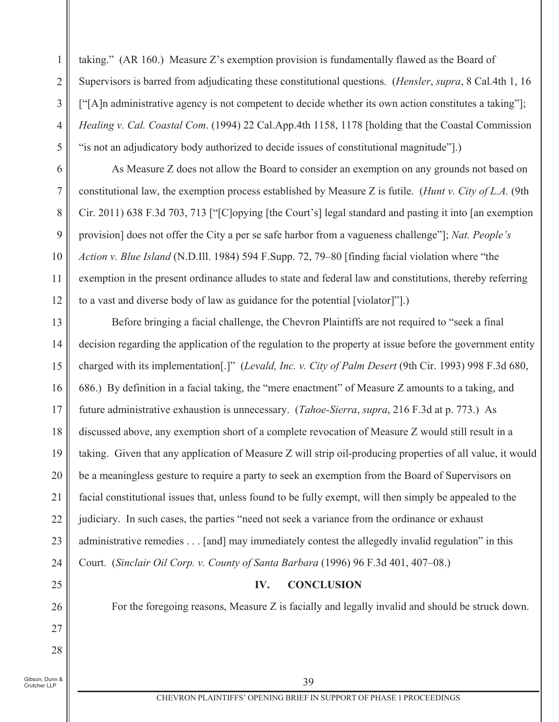taking." (AR 160.) Measure Z's exemption provision is fundamentally flawed as the Board of Supervisors is barred from adjudicating these constitutional questions. (*Hensler, supra, 8 Cal.4th 1, 16* ["[A] h administrative agency is not competent to decide whether its own action constitutes a taking"]; Healing v. Cal. Coastal Com. (1994) 22 Cal.App.4th 1158, 1178 [holding that the Coastal Commission "is not an adjudicatory body authorized to decide issues of constitutional magnitude".)

As Measure Z does not allow the Board to consider an exemption on any grounds not based on constitutional law, the exemption process established by Measure Z is futile. (Hunt v. City of L.A. (9th Cir. 2011) 638 F.3d 703, 713 ["[Clopying [the Court's] legal standard and pasting it into [an exemption] provision] does not offer the City a per se safe harbor from a vagueness challenge"]; Nat. People's Action v. Blue Island (N.D.Ill. 1984) 594 F.Supp. 72, 79–80 [finding facial violation where "the exemption in the present ordinance alludes to state and federal law and constitutions, thereby referring to a vast and diverse body of law as guidance for the potential [violator]"].)

13 Before bringing a facial challenge, the Chevron Plaintiffs are not required to "seek a final decision regarding the application of the regulation to the property at issue before the government entity 14 15 charged with its implementation[.]" (Levald, Inc. v. City of Palm Desert (9th Cir. 1993) 998 F.3d 680, 686.) By definition in a facial taking, the "mere enactment" of Measure Z amounts to a taking, and 16 future administrative exhaustion is unnecessary. (Tahoe-Sierra, supra, 216 F.3d at p. 773.) As 17 18 discussed above, any exemption short of a complete revocation of Measure Z would still result in a 19 taking. Given that any application of Measure Z will strip oil-producing properties of all value, it would 20 be a meaningless gesture to require a party to seek an exemption from the Board of Supervisors on facial constitutional issues that, unless found to be fully exempt, will then simply be appealed to the 21 judiciary. In such cases, the parties "need not seek a variance from the ordinance or exhaust 22 23 administrative remedies . . . [and] may immediately contest the allegedly invalid regulation" in this Court. (Sinclair Oil Corp. v. County of Santa Barbara (1996) 96 F.3d 401, 407-08.) 24

#### IV. **CONCLUSION**

For the foregoing reasons, Measure Z is facially and legally invalid and should be struck down.

Gibson, Dunn & Crutcher LLP

25

26

27

28

 $\mathbf{1}$ 

 $\overline{2}$ 

3

 $\overline{4}$ 

5

6

 $\overline{7}$ 

8

9

10

11